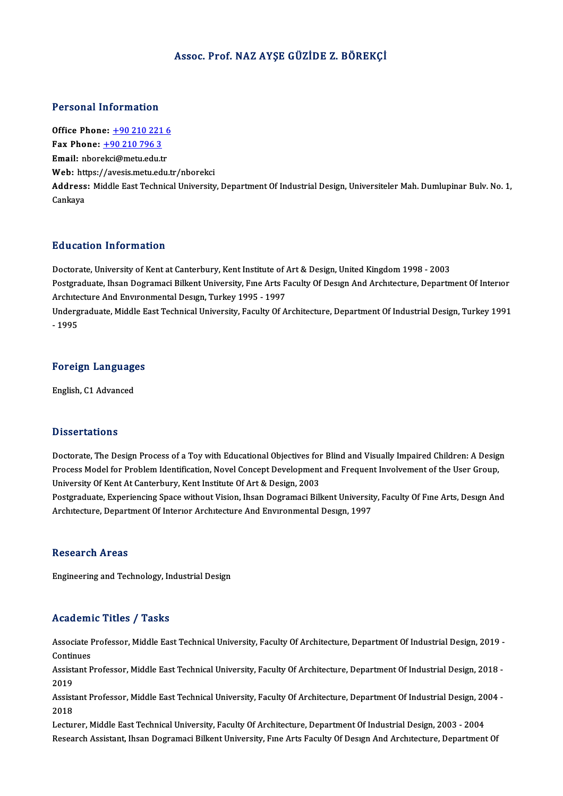#### Assoc. Prof.NAZ AYŞE GÜZİDE Z. BÖREKÇİ

#### Personal Information

Office Phone: +90 210 221 6 Fax Phone: <u>+90 210 221</u><br>Fax Phone: <u>+90 210 796 3</u><br>Fmail: phoreksi@msty.edu.tr Office Phone: <u>+90 210 221 6</u><br>Fax Phone: <u>+90 210 796 3</u><br>Email: nbor[ekci@metu.edu.](tel:+90 210 796 3)[tr](tel:+90 210 221 6) Email: nborekci@metu.edu.tr<br>Web: https://avesis.metu.edu.tr/nborekci **Email:** nborekci@metu.edu.tr<br>Web: https://avesis.metu.edu.tr/nborekci<br>Address: Middle East Technical University, Department Of Industrial Design, Universiteler Mah. Dumlupinar Bulv. No. 1, Web: htt<br>Address<br>Cankaya Education Information

Education Information<br>Doctorate, University of Kent at Canterbury, Kent Institute of Art & Design, United Kingdom 1998 - 2003<br>Postsraduate Jhsen Dogramaci Billiont University, Eye Arts Faculty Of Design Ard Architecture, D Postgraduate, Ihsan Dogramaci Bilkent University, Fine Arts Faculty Of Design And Architecture, Department Of Interior Doctorate, University of Kent at Canterbury, Kent Institute of A<br>Postgraduate, Ihsan Dogramaci Bilkent University, Fme Arts F<br>Architecture And Environmental Design, Turkey 1995 - 1997<br>Undersreduate Middle Feet Technical Un Undergraduate, Middle East Technical University, Faculty Of Architecture, Department Of Industrial Design, Turkey 1991<br>- 1995 Architecture And Environmental Design, Turkey 1995 - 1997

## - <sub>1995</sub><br>Foreign Languages <mark>Foreign Language</mark><br>English, C1 Advanced

English, C1 Advanced<br>Dissertations

Doctorate, The Design Process of a Toy with Educational Objectives for Blind and Visually Impaired Children: A Design Disbot cacroms<br>Doctorate, The Design Process of a Toy with Educational Objectives for Blind and Visually Impaired Children: A Desig<br>Process Model for Problem Identification, Novel Concept Development and Frequent Involveme Doctorate, The Design Process of a Toy with Educational Objectives for<br>Process Model for Problem Identification, Novel Concept Development<br>University Of Kent At Canterbury, Kent Institute Of Art & Design, 2003<br>Pestaveduate Process Model for Problem Identification, Novel Concept Development and Frequent Involvement of the User Group,<br>University Of Kent At Canterbury, Kent Institute Of Art & Design, 2003<br>Postgraduate, Experiencing Space withou

University Of Kent At Canterbury, Kent Institute Of Art & Design, 2003<br>Postgraduate, Experiencing Space without Vision, Ihsan Dogramaci Bilkent University, Faculty Of Fıne Arts, Desıgn And<br>Architecture, Department Of Inter

#### **Research Areas**

Engineering and Technology, Industrial Design

#### Academic Titles / Tasks

Academic Titles / Tasks<br>Associate Professor, Middle East Technical University, Faculty Of Architecture, Department Of Industrial Design, 2019 -<br>Continues Associate I<br>Continues<br>Assistant B Associate Professor, Middle East Technical University, Faculty Of Architecture, Department Of Industrial Design, 2019 -<br>Continues<br>Assistant Professor, Middle East Technical University, Faculty Of Architecture, Department O

Contin<br>Assist<br>2019 Assistant Professor, Middle East Technical University, Faculty Of Architecture, Department Of Industrial Design, 2018 -<br>2019<br>Assistant Professor, Middle East Technical University, Faculty Of Architecture, Department Of Ind

2019<br>Assist<br>2018<br>Lectur Assistant Professor, Middle East Technical University, Faculty Of Architecture, Department Of Industrial Design, 20<br>2018<br>Lecturer, Middle East Technical University, Faculty Of Architecture, Department Of Industrial Design,

2018<br>Lecturer, Middle East Technical University, Faculty Of Architecture, Department Of Industrial Design, 2003 - 2004<br>Research Assistant, Ihsan Dogramaci Bilkent University, Fıne Arts Faculty Of Desıgn And Architecture, D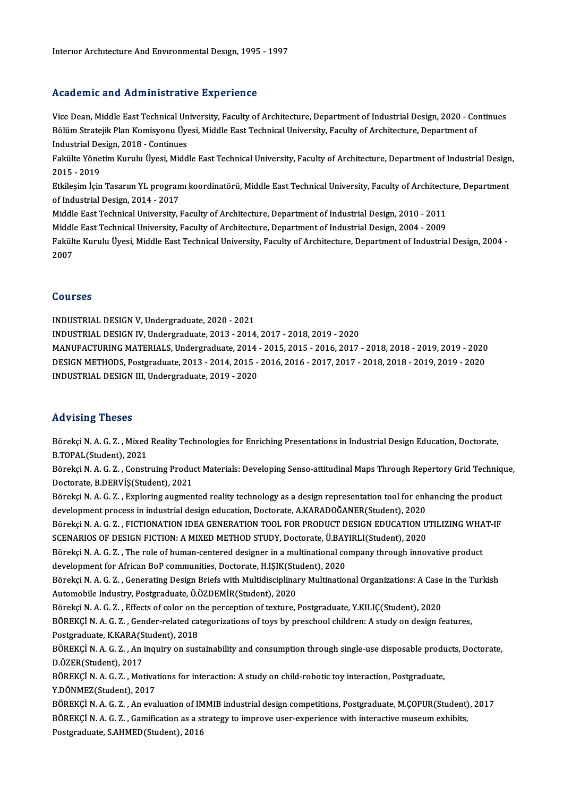## Academic and Administrative Experience

Academic and Administrative Experience<br>Vice Dean, Middle East Technical University, Faculty of Architecture, Department of Industrial Design, 2020 - Continues<br>Rölüm Strateill: Plan Komisyony Ülyesi, Middle Fast Technical U rroud office and Trammison dervo Emportoncol<br>Vice Dean, Middle East Technical University, Faculty of Architecture, Department of Industrial Design, 2020 - Co<br>Bölüm Stratejik Plan Komisyonu Üyesi, Middle East Technical Univ Vice Dean, Middle East Technical Un<br>Bölüm Stratejik Plan Komisyonu Üye<br>Industrial Design, 2018 - Continues<br>Felsülte Vänetim Kurulu Üyesi, Midd Bölüm Stratejik Plan Komisyonu Üyesi, Middle East Technical University, Faculty of Architecture, Department of<br>Industrial Design, 2018 - Continues<br>Fakülte Yönetim Kurulu Üyesi, Middle East Technical University, Faculty of

Industrial Design, 2018 - Continues<br>Fakülte Yönetim Kurulu Üyesi, Midd<br>2015 - 2019 Fakülte Yönetim Kurulu Üyesi, Middle East Technical University, Faculty of Architecture, Department of Industrial Design<br>2015 - 2019<br>Etkileşim İçin Tasarım YL programı koordinatörü, Middle East Technical University, Facult

2015 - 2019<br>Etkileşim İçin Tasarım YL program<br>of Industrial Design, 2014 - 2017<br>Middle Fost Technical University I Etkileşim İçin Tasarım YL programı koordinatörü, Middle East Technical University, Faculty of Architectu<br>of Industrial Design, 2014 - 2017<br>Middle East Technical University, Faculty of Architecture, Department of Industrial

of Industrial Design, 2014 - 2017<br>Middle East Technical University, Faculty of Architecture, Department of Industrial Design, 2010 - 2011<br>Middle East Technical University, Faculty of Architecture, Department of Industrial

Middle East Technical University, Faculty of Architecture, Department of Industrial Design, 2010 - 2011<br>Middle East Technical University, Faculty of Architecture, Department of Industrial Design, 2004 - 2009<br>Fakülte Kurulu Middl<sub></sub><br>Fakült<br>2007

### Courses

INDUSTRIALDESIGNV,Undergraduate,2020 -2021 INDUSTRIALDESIGNIV,Undergraduate,2013 -2014,2017 -2018,2019 -2020 INDUSTRIAL DESIGN V, Undergraduate, 2020 - 2021<br>INDUSTRIAL DESIGN IV, Undergraduate, 2013 - 2014, 2017 - 2018, 2019 - 2020<br>MANUFACTURING MATERIALS, Undergraduate, 2014 - 2015, 2015 - 2016, 2017 - 2018, 2018 - 2019, 2019 - INDUSTRIAL DESIGN IV, Undergraduate, 2013 - 2014, 2017 - 2018, 2019 - 2020<br>MANUFACTURING MATERIALS, Undergraduate, 2014 - 2015, 2015 - 2016, 2017 - 2018, 2018 - 2019, 2019 - 2020<br>DESIGN METHODS, Postgraduate, 2013 - 2014, MANUFACTURING MATERIALS, Undergraduate, 2014<br>DESIGN METHODS, Postgraduate, 2013 - 2014, 2015 -<br>INDUSTRIAL DESIGN III, Undergraduate, 2019 - 2020 INDUSTRIAL DESIGN III, Undergraduate, 2019 - 2020<br>Advising Theses

Advising Theses<br>Börekçi N. A. G. Z. , Mixed Reality Technologies for Enriching Presentations in Industrial Design Education, Doctorate,<br>R.TORAL(Student), 2021 Börekçi N. A. G. Z. , Mixed<br>B.TOPAL(Student), 2021<br>Böreksi N. A. G. Z. , Consti Börekçi N. A. G. Z. , Mixed Reality Technologies for Enriching Presentations in Industrial Design Education, Doctorate,<br>B.TOPAL(Student), 2021<br>Börekçi N. A. G. Z. , Construing Product Materials: Developing Senso-attitudina

B.TOPAL(Student), 2021<br>Börekçi N. A. G. Z. , Construing Produc<br>Doctorate, B.DERVİŞ(Student), 2021<br>Böreksi N. A. G. Z., Evrlering eugman Börekçi N. A. G. Z. , Construing Product Materials: Developing Senso-attitudinal Maps Through Repertory Grid Techniq<br>Doctorate, B.DERVİŞ(Student), 2021<br>Börekçi N. A. G. Z. , Exploring augmented reality technology as a desi

Doctorate, B.DERVİŞ(Student), 2021<br>Börekçi N. A. G. Z. , Exploring augmented reality technology as a design representation tool for enh<br>development process in industrial design education, Doctorate, A.KARADOĞANER(Student), Börekçi N. A. G. Z. , Exploring augmented reality technology as a design representation tool for enhancing the product<br>development process in industrial design education, Doctorate, A.KARADOĞANER(Student), 2020<br>Börekçi N.

development process in industrial design education, Doctorate, A.KARADOĞANER(Student), 2020<br>Börekçi N. A. G. Z. , FICTIONATION IDEA GENERATION TOOL FOR PRODUCT DESIGN EDUCATION U<br>SCENARIOS OF DESIGN FICTION: A MIXED METHOD Börekçi N. A. G. Z. , FICTIONATION IDEA GENERATION TOOL FOR PRODUCT DESIGN EDUCATION UTILIZING WHA<br>SCENARIOS OF DESIGN FICTION: A MIXED METHOD STUDY, Doctorate, Ü.BAYIRLI(Student), 2020<br>Börekçi N. A. G. Z. , The role of hu

SCENARIOS OF DESIGN FICTION: A MIXED METHOD STUDY, Doctorate, Ü.BAY<br>Börekçi N. A. G. Z. , The role of human-centered designer in a multinational co<br>development for African BoP communities, Doctorate, H.IŞIK(Student), 2020<br> Börekçi N. A. G. Z. , The role of human-centered designer in a multinational company through innovative product<br>development for African BoP communities, Doctorate, H.IŞIK(Student), 2020<br>Börekçi N. A. G. Z. , Generating Des

development for African BoP communities, Doctorate, H.IŞIK(Student), 2020<br>Börekçi N. A. G. Z. , Generating Design Briefs with Multidisciplinary Multinational Organizations: A Case<br>Automobile Industry, Postgraduate, Ö.ÖZDEM Börekçi N.A.G.Z., Generating Design Briefs with Multidisciplinary Multinational Organizations: A Case in the Turkish

BÖREKÇİN.A.G.Z., Gender-related categorizations of toys by preschool children: A study on design features, Börekçi N. A. G. Z. , Effects of color on t<br>BÖREKÇİ N. A. G. Z. , Gender-related ca<br>Postgraduate, K.KARA(Student), 2018<br>BÖREKÇİ N. A. G. Z. , An inquiry on quat

BÖREKÇİ N. A. G. Z. , An inquiry on sustainability and consumption through single-use disposable products, Doctorate,<br>D.ÖZER(Student), 2017 Postgraduate, K.KARA(S<br>BÖREKÇİ N. A. G. Z. , An<br>D.ÖZER(Student), 2017<br>PÖPEKÇİ N. A. G. 7. Mei BÖREKÇİ N. A. G. Z. , An inquiry on sustainability and consumption through single-use disposable produ<br>D.ÖZER(Student), 2017<br>BÖREKÇİ N. A. G. Z. , Motivations for interaction: A study on child-robotic toy interaction, Post

D.ÖZER(Student), 2017<br>BÖREKÇİ N. A. G. Z. , Motiva<br>Y.DÖNMEZ(Student), 2017<br>BÖREKÇİ N. A. G. Z. , An eva

Y.DÖNMEZ(Student), 2017<br>BÖREKÇİ N. A. G. Z. , An evaluation of IMMIB industrial design competitions, Postgraduate, M.ÇOPUR(Student), 2017 Y.DÖNMEZ(Student), 2017<br>BÖREKÇİ N. A. G. Z. , An evaluation of IMMIB industrial design competitions, Postgraduate, M.ÇOPUR(Student)<br>BÖREKÇİ N. A. G. Z. , Gamification as a strategy to improve user-experience with interacti BÖREKÇİ N. A. G. Z. , An evaluation of IM<br>BÖREKÇİ N. A. G. Z. , Gamification as a st<br>Postgraduate, S.AHMED(Student), 2016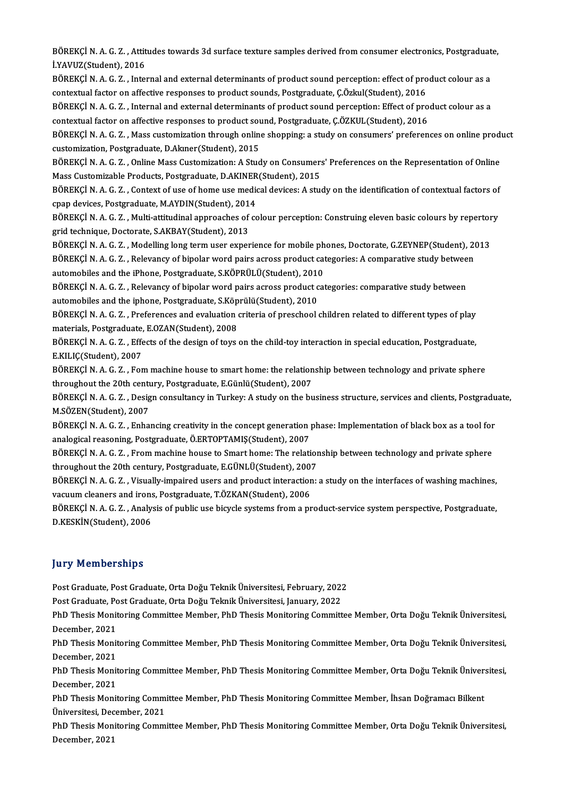BÖREKÇİ N. A. G. Z. , Attitudes towards 3d surface texture samples derived from consumer electronics, Postgraduate,<br>UYAVUZ(Student), 2016 BÖREKÇİ N. A. G. Z. , Attit<br>İ.YAVUZ(Student), 2016<br>PÖPEKÇİ N. A. G. Z., İnto BÖREKÇİ N. A. G. Z. , Attitudes towards 3d surface texture samples derived from consumer electronics, Postgraduat<br>İ.YAVUZ(Student), 2016<br>BÖREKÇİ N. A. G. Z. , Internal and external determinants of product sound perception:

İ.YAVUZ(Student), 2016<br>BÖREKÇİ N. A. G. Z. , Internal and external determinants of product sound perception: effect of product colour as a<br>contextual factor on affective responses to product sounds, Postgraduate, Ç.Özkul(S BÖREKÇİ N. A. G. Z. , Internal and external determinants of product sound perception: effect of product colour as a<br>contextual factor on affective responses to product sounds, Postgraduate, Ç.Özkul(Student), 2016<br>BÖREKÇİ N

contextual factor on affective responses to product sounds, Postgraduate, Ç.Özkul(Student), 2016<br>BÖREKÇİ N. A. G. Z. , Internal and external determinants of product sound perception: Effect of pro<br>contextual factor on affe BÖREKÇİ N. A. G. Z. , Internal and external determinants of product sound perception: Effect of product colour as a<br>contextual factor on affective responses to product sound, Postgraduate, Ç.ÖZKUL(Student), 2016<br>BÖREKÇİ N.

contextual factor on affective responses to product soule<br>BÖREKÇİ N. A. G. Z. , Mass customization through online<br>customization, Postgraduate, D.Akıner(Student), 2015<br>PÖREKÇİ N. A. G. Z., Online Mass Customization, A Stud BÖREKÇİ N. A. G. Z. , Mass customization through online shopping: a study on consumers' preferences on online prod<br>customization, Postgraduate, D.Akıner(Student), 2015<br>BÖREKÇİ N. A. G. Z. , Online Mass Customization: A Stu

customization, Postgraduate, D.Akıner(Student), 2015<br>BÖREKÇİ N. A. G. Z. , Online Mass Customization: A Study on Consumer:<br>Mass Customizable Products, Postgraduate, D.AKINER(Student), 2015<br>PÖPEKÇİ N. A. G. Z., Context of u BÖREKÇİ N. A. G. Z. , Online Mass Customization: A Study on Consumers' Preferences on the Representation of Online<br>Mass Customizable Products, Postgraduate, D.AKINER(Student), 2015<br>BÖREKÇİ N. A. G. Z. , Context of use of h

Mass Customizable Products, Postgraduate, D.AKINER<br>BÖREKÇİ N. A. G. Z. , Context of use of home use medic<br>cpap devices, Postgraduate, M.AYDIN(Student), 2014<br>PÖREKÇİ N. A. G. Z., Multi attitudinal annrasabas of sa BÖREKÇİ N. A. G. Z. , Context of use of home use medical devices: A study on the identification of contextual factors of<br>cpap devices, Postgraduate, M.AYDIN(Student), 2014<br>BÖREKÇİ N. A. G. Z. , Multi-attitudinal approaches

cpap devices, Postgraduate, M.AYDIN(Student), 2014<br>BÖREKÇİ N. A. G. Z. , Multi-attitudinal approaches of considered technique, Doctorate, S.AKBAY(Student), 2013 BÖREKÇİN.A.G.Z., Multi-attitudinal approaches of colour perception: Construing eleven basic colours by repertory

grid technique, Doctorate, S.AKBAY(Student), 2013<br>BÖREKÇİ N. A. G. Z. , Modelling long term user experience for mobile phones, Doctorate, G.ZEYNEP(Student), 20<br>BÖREKÇİ N. A. G. Z. , Relevancy of bipolar word pairs across p BÖREKÇİ N. A. G. Z. , Modelling long term user experience for mobile ph<br>BÖREKÇİ N. A. G. Z. , Relevancy of bipolar word pairs across product cat<br>automobiles and the iPhone, Postgraduate, S.KÖPRÜLÜ(Student), 2010<br>BÖREKÇİ N. automobiles and the iPhone, Postgraduate, S.KÖPRÜLÜ(Student), 2010

BÖREKÇİ N. A. G. Z. , Relevancy of bipolar word pairs across product categories: A comparative study between<br>automobiles and the iPhone, Postgraduate, S.KÖPRÜLÜ(Student), 2010<br>BÖREKÇİ N. A. G. Z. , Relevancy of bipolar wor BÖREKÇİ N. A. G. Z. , Relevancy of bipolar word pairs across product categories: comparative study between<br>automobiles and the iphone, Postgraduate, S.Köprülü(Student), 2010<br>BÖREKÇİ N. A. G. Z. , Preferences and evaluation

automobiles and the iphone, Postgraduate, S.Köp<br>BÖREKÇİ N. A. G. Z. , Preferences and evaluation<br>materials, Postgraduate, E.OZAN(Student), 2008<br>PÖREKÇİ N. A. G. 7. – Effects of the design of tovs BÖREKÇİ N. A. G. Z. , Preferences and evaluation criteria of preschool children related to different types of play<br>materials, Postgraduate, E.OZAN(Student), 2008<br>BÖREKÇİ N. A. G. Z. , Effects of the design of toys on the c

materials, Postgraduate, E.OZAN(Student), 2008<br>BÖREKÇİ N. A. G. Z. , Effects of the design of toys on the child-toy interaction in special education, Postgraduate,<br>E.KILIÇ(Student), 2007 BÖREKÇİ N. A. G. Z. , Effects of the design of toys on the child-toy interaction in special education, Postgraduate,<br>E.KILIÇ(Student), 2007<br>BÖREKÇİ N. A. G. Z. , Fom machine house to smart home: the relationship between te

E.KILIÇ(Student), 2007<br>BÖREKÇİ N. A. G. Z. , Fom machine house to smart home: the relation<br>throughout the 20th century, Postgraduate, E.Günlü(Student), 2007<br>PÖREKÇİ N. A. G. Z., Design sonsultangu in Turksuy A study on the BÖREKÇİ N. A. G. Z. , Fom machine house to smart home: the relationship between technology and private sphere<br>throughout the 20th century, Postgraduate, E.Günlü(Student), 2007<br>BÖREKÇİ N. A. G. Z. , Design consultancy in Tu

throughout the 20th century, Postgraduate, E.Günlü(Student), 2007<br>BÖREKÇİ N. A. G. Z. , Design consultancy in Turkey: A study on the b<br>M.SÖZEN(Student), 2007 BÖREKÇİ N. A. G. Z. , Design consultancy in Turkey: A study on the business structure, services and clients, Postgradu<br>M.SÖZEN(Student), 2007<br>BÖREKÇİ N. A. G. Z. , Enhancing creativity in the concept generation phase: Impl

M.SÖZEN(Student), 2007<br>BÖREKÇİ N. A. G. Z. , Enhancing creativity in the concept generation<br>analogical reasoning, Postgraduate, Ö.ERTOPTAMIŞ(Student), 2007<br>BÖREKÇİ N. A. G. Z., Erem mashine beyes te Smart bewe; The relati BÖREKÇİ N. A. G. Z. , Enhancing creativity in the concept generation phase: Implementation of black box as a tool for<br>analogical reasoning, Postgraduate, Ö.ERTOPTAMIŞ(Student), 2007<br>BÖREKÇİ N. A. G. Z. , From machine house

analogical reasoning, Postgraduate, Ö.ERTOPTAMIŞ(Student), 2007<br>BÖREKÇİ N. A. G. Z. , From machine house to Smart home: The relation<br>throughout the 20th century, Postgraduate, E.GÜNLÜ(Student), 2007<br>PÖREKÇİ N. A. G. Z., Vi BÖREKÇİ N. A. G. Z. , From machine house to Smart home: The relationship between technology and private sphere<br>throughout the 20th century, Postgraduate, E.GÜNLÜ(Student), 2007<br>BÖREKÇİ N. A. G. Z. , Visually-impaired users

throughout the 20th century, Postgraduate, E.GÜNLÜ(Student), 200<br>BÖREKÇİ N. A. G. Z. , Visually-impaired users and product interaction<br>vacuum cleaners and irons, Postgraduate, T.ÖZKAN(Student), 2006<br>PÖREKÇİ N. A. G. Z., An BÖREKÇİ N. A. G. Z. , Visually-impaired users and product interaction: a study on the interfaces of washing machines,<br>vacuum cleaners and irons, Postgraduate, T.ÖZKAN(Student), 2006<br>BÖREKÇİ N. A. G. Z. , Analysis of public

vacuum cleaners and irons<br>BÖREKÇİ N. A. G. Z. , Analy<br>D.KESKİN(Student), 2006

# D.KESKİN(Student), 2006<br>Jury Memberships

**Jury Memberships<br>Post Graduate, Post Graduate, Orta Doğu Teknik Üniversitesi, February, 2022<br>Post Craduate, Post Craduate, Orta Doğu Teknik Üniversitesi, February, 2022** Jary Fromborompo<br>Post Graduate, Post Graduate, Orta Doğu Teknik Üniversitesi, February, 2022<br>Post Graduate, Post Graduate, Orta Doğu Teknik Üniversitesi, January, 2022<br>PhD Thesis Monitoring Committee Member, PhD Thesis Mon

Post Graduate, Post Graduate, Orta Doğu Teknik Üniversitesi, February, 2022<br>Post Graduate, Post Graduate, Orta Doğu Teknik Üniversitesi, January, 2022<br>PhD Thesis Monitoring Committee Member, PhD Thesis Monitoring Committee Post Graduate, Post Graduate, Orta Doğu Teknik Üniversitesi, January, 2022<br>PhD Thesis Monitoring Committee Member, PhD Thesis Monitoring Commit<br>December. 2021 PhD Thesis Monitoring Committee Member, PhD Thesis Monitoring Committee Member, Orta Doğu Teknik Üniversitesi,<br>December, 2021<br>PhD Thesis Monitoring Committee Member, PhD Thesis Monitoring Committee Member, Orta Doğu Teknik

December, 2021<br>PhD Thesis Monit<br>December, 2021<br>PhD Thesis Monit PhD Thesis Monitoring Committee Member, PhD Thesis Monitoring Committee Member, Orta Doğu Teknik Üniversitesi,<br>December, 2021<br>PhD Thesis Monitoring Committee Member, PhD Thesis Monitoring Committee Member, Orta Doğu Teknik

December, 2021<br>PhD Thesis Monit<br>December, 2021<br>PhD Thesis Monit PhD Thesis Monitoring Committee Member, PhD Thesis Monitoring Committee Member, Orta Doğu Teknik Üniver:<br>December, 2021<br>PhD Thesis Monitoring Committee Member, PhD Thesis Monitoring Committee Member, İhsan Doğramacı Bilken

December, 2021<br>PhD Thesis Monitoring Committee Member, PhD Thesis Monitoring Committee Member, İhsan Doğramacı Bilkent<br>Üniversitesi, December, 2021 PhD Thesis Monitoring Committee Member, PhD Thesis Monitoring Committee Member, İhsan Doğramacı Bilkent<br>Üniversitesi, December, 2021<br>PhD Thesis Monitoring Committee Member, PhD Thesis Monitoring Committee Member, Orta Doğu

Üniversitesi, Dec<br>PhD Thesis Mon<br>December, 2021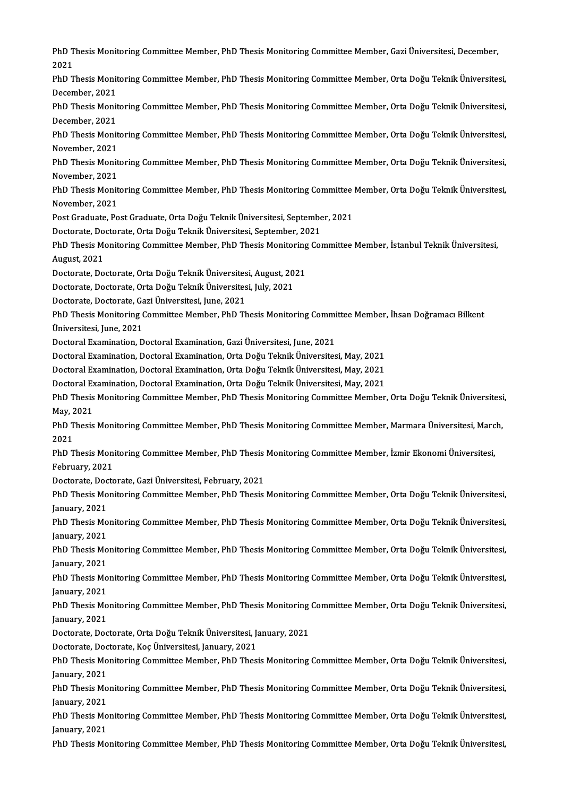PhD Thesis Monitoring Committee Member, PhD Thesis Monitoring Committee Member, Gazi Üniversitesi, December,<br>2021 PhD T<br>2021<br><sub>PhD T</sub> PhD Thesis Monitoring Committee Member, PhD Thesis Monitoring Committee Member, Gazi Üniversitesi, December,<br>2021<br>PhD Thesis Monitoring Committee Member, PhD Thesis Monitoring Committee Member, Orta Doğu Teknik Üniversites 2021<br>PhD Thesis Monitoring Committee Member, PhD Thesis Monitoring Committee Member, Orta Doğu Teknik Üniversitesi,<br>December. 2021 PhD Thesis Monitoring Committee Member, PhD Thesis Monitoring Committee Member, Orta Doğu Teknik Üniversitesi,<br>December, 2021<br>PhD Thesis Monitoring Committee Member, PhD Thesis Monitoring Committee Member, Orta Doğu Teknik December, 2021<br>PhD Thesis Monit<br>December, 2021<br>PhD Thesis Monit PhD Thesis Monitoring Committee Member, PhD Thesis Monitoring Committee Member, Orta Doğu Teknik Üniversitesi,<br>December, 2021<br>PhD Thesis Monitoring Committee Member, PhD Thesis Monitoring Committee Member, Orta Doğu Teknik December, 2021<br>PhD Thesis Monit<br>November, 2021<br>PhD Thesis Monit PhD Thesis Monitoring Committee Member, PhD Thesis Monitoring Committee Member, Orta Doğu Teknik Üniversitesi,<br>November, 2021<br>PhD Thesis Monitoring Committee Member, PhD Thesis Monitoring Committee Member, Orta Doğu Teknik November, 2021<br>PhD Thesis Monitoring Committee Member, PhD Thesis Monitoring Committee Member, Orta Doğu Teknik Üniversitesi,<br>November. 2021 PhD Thesis Monitoring Committee Member, PhD Thesis Monitoring Committee Member, Orta Doğu Teknik Üniversitesi,<br>November, 2021<br>PhD Thesis Monitoring Committee Member, PhD Thesis Monitoring Committee Member, Orta Doğu Teknik November, 2021<br>PhD Thesis Monit<br>November, 2021<br>Post Creduate, Bo PhD Thesis Monitoring Committee Member, PhD Thesis Monitoring Committee<br>November, 2021<br>Post Graduate, Post Graduate, Orta Doğu Teknik Üniversitesi, September, 2021<br>Destarate, Destarate, Orta Doğu Teknik Üniversitesi, Septe November, 2021<br>Post Graduate, Post Graduate, Orta Doğu Teknik Üniversitesi, Septembe<br>Doctorate, Doctorate, Orta Doğu Teknik Üniversitesi, September, 2021<br>PhD Thesis Monitering Committee Member, PhD Thesis Monitering Cou Post Graduate, Post Graduate, Orta Doğu Teknik Üniversitesi, September, 2021<br>Doctorate, Doctorate, Orta Doğu Teknik Üniversitesi, September, 2021<br>PhD Thesis Monitoring Committee Member, PhD Thesis Monitoring Committee Memb Doctorate, Do<br>PhD Thesis Me<br>August, 2021<br>Doctorate, Do PhD Thesis Monitoring Committee Member, PhD Thesis Monitoring<br>August, 2021<br>Doctorate, Doctorate, Orta Doğu Teknik Üniversitesi, August, 2021<br>Doctorate, Doctorate, Orta Doğu Teknik Üniversitesi, July, 2021 August, 2021<br>Doctorate, Doctorate, Orta Doğu Teknik Üniversitesi, August, 20<br>Doctorate, Doctorate, Orta Doğu Teknik Üniversitesi, July, 2021<br>Doctorate, Doctorate, Cari Üniversitesi, June, 2021 Doctorate, Doctorate, Orta Doğu Teknik Üniversites<br>Doctorate, Doctorate, Orta Doğu Teknik Üniversites<br>Doctorate, Doctorate, Gazi Üniversitesi, June, 2021<br>PhD Thesis Monitoring Committee Member, PhD Th Doctorate, Doctorate, Orta Doğu Teknik Üniversitesi, July, 2021<br>Doctorate, Doctorate, Gazi Üniversitesi, June, 2021<br>PhD Thesis Monitoring Committee Member, PhD Thesis Monitoring Committee Member, İhsan Doğramacı Bilkent<br>Ün Doctorate, Doctorate, Ga<br>PhD Thesis Monitoring (<br>Üniversitesi, June, 2021<br>Doctoral Examination, D PhD Thesis Monitoring Committee Member, PhD Thesis Monitoring Commi<br>Üniversitesi, June, 2021<br>Doctoral Examination, Doctoral Examination, Gazi Üniversitesi, June, 2021<br>Doctoral Examination, Doctoral Examination, Orta Doğu T Üniversitesi, June, 2021<br>Doctoral Examination, Doctoral Examination, Gazi Üniversitesi, June, 2021<br>Doctoral Examination, Doctoral Examination, Orta Doğu Teknik Üniversitesi, May, 2021<br>Doctoral Examination, Doctoral Examina Doctoral Examination, Doctoral Examination, Gazi Üniversitesi, June, 2021<br>Doctoral Examination, Doctoral Examination, Orta Doğu Teknik Üniversitesi, May, 2021<br>Doctoral Examination, Doctoral Examination, Orta Doğu Teknik Ün Doctoral Examination, Doctoral Examination, Orta Doğu Teknik Üniversitesi, May, 2021<br>Doctoral Examination, Doctoral Examination, Orta Doğu Teknik Üniversitesi, May, 2021<br>Doctoral Examination, Doctoral Examination, Orta Doğ Doctoral Examination, Doctoral Examination, Orta Doğu Teknik Üniversitesi, May, 2021<br>Doctoral Examination, Doctoral Examination, Orta Doğu Teknik Üniversitesi, May, 2021<br>PhD Thesis Monitoring Committee Member, PhD Thesis M Doctoral Examination, Doctoral Examination, Orta Doğu Teknik Üniversitesi, May, 2021<br>PhD Thesis Monitoring Committee Member, PhD Thesis Monitoring Committee Member<br>Mav. 2021 PhD Thesis Monitoring Committee Member, PhD Thesis Monitoring Committee Member, Orta Doğu Teknik Üniversitesi<br>May, 2021<br>PhD Thesis Monitoring Committee Member, PhD Thesis Monitoring Committee Member, Marmara Üniversitesi, May, 2<br>PhD T<br>2021<br>PhD T PhD Thesis Monitoring Committee Member, PhD Thesis Monitoring Committee Member, Marmara Üniversitesi, Marc<br>2021<br>PhD Thesis Monitoring Committee Member, PhD Thesis Monitoring Committee Member, İzmir Ekonomi Üniversitesi,<br>Fe 2021<br>PhD Thesis Monitoring Committee Member, PhD Thesis Monitoring Committee Member, İzmir Ekonomi Üniversitesi,<br>February, 2021 PhD Thesis Monitoring Committee Member, PhD Thesis<br>February, 2021<br>Doctorate, Doctorate, Gazi Üniversitesi, February, 2021<br>PhD Thesis Monitoring Committee Member, PhD Thesis February, 2021<br>Doctorate, Doctorate, Gazi Üniversitesi, February, 2021<br>PhD Thesis Monitoring Committee Member, PhD Thesis Monitoring Committee Member, Orta Doğu Teknik Üniversitesi, Doctorate, Doc<br>PhD Thesis Mo<br>January, 2021<br>PhD Thesis Mo PhD Thesis Monitoring Committee Member, PhD Thesis Monitoring Committee Member, Orta Doğu Teknik Üniversitesi,<br>January, 2021<br>PhD Thesis Monitoring Committee Member, PhD Thesis Monitoring Committee Member, Orta Doğu Teknik January, 2021<br>PhD Thesis Mo<br>January, 2021<br>PhD Thesis Mo PhD Thesis Monitoring Committee Member, PhD Thesis Monitoring Committee Member, Orta Doğu Teknik Üniversitesi,<br>January, 2021<br>PhD Thesis Monitoring Committee Member, PhD Thesis Monitoring Committee Member, Orta Doğu Teknik January, 2021<br>PhD Thesis Mo<br>January, 2021<br>PhD Thesis Mo PhD Thesis Monitoring Committee Member, PhD Thesis Monitoring Committee Member, Orta Doğu Teknik Üniversitesi,<br>January, 2021<br>PhD Thesis Monitoring Committee Member, PhD Thesis Monitoring Committee Member, Orta Doğu Teknik January, 2021<br>PhD Thesis Mo<br>January, 2021<br>PhD Thesis Mo PhD Thesis Monitoring Committee Member, PhD Thesis Monitoring Committee Member, Orta Doğu Teknik Üniversitesi,<br>January, 2021<br>PhD Thesis Monitoring Committee Member, PhD Thesis Monitoring Committee Member, Orta Doğu Teknik January, 2021<br>PhD Thesis Mo<br>January, 2021<br>Doctarata Doc PhD Thesis Monitoring Committee Member, PhD Thesis Monitoring<br>January, 2021<br>Doctorate, Doctorate, Orta Doğu Teknik Üniversitesi, January, 2021<br>Doctorate, Doctorate, Kos Üniversitesi, January, 2021 January, 2021<br>Doctorate, Doctorate, Orta Doğu Teknik Üniversitesi, J.<br>Doctorate, Doctorate, Koç Üniversitesi, January, 2021<br>PhD Thesis Monitoring Committee Momber, PhD Thes Doctorate, Doctorate, Orta Doğu Teknik Üniversitesi, January, 2021<br>Doctorate, Doctorate, Koç Üniversitesi, January, 2021<br>PhD Thesis Monitoring Committee Member, PhD Thesis Monitoring Committee Member, Orta Doğu Teknik Üniv Doctorate, Doc<br>PhD Thesis Mo<br>January, 2021<br>PhD Thesis Mo PhD Thesis Monitoring Committee Member, PhD Thesis Monitoring Committee Member, Orta Doğu Teknik Üniversitesi,<br>January, 2021<br>PhD Thesis Monitoring Committee Member, PhD Thesis Monitoring Committee Member, Orta Doğu Teknik January, 2021<br>PhD Thesis Mo<br>January, 2021<br>PhD Thesis Mo PhD Thesis Monitoring Committee Member, PhD Thesis Monitoring Committee Member, Orta Doğu Teknik Üniversitesi,<br>January, 2021<br>PhD Thesis Monitoring Committee Member, PhD Thesis Monitoring Committee Member, Orta Doğu Teknik January, 2021<br>PhD Thesis Monitoring Committee Member, PhD Thesis Monitoring Committee Member, Orta Doğu Teknik Üniversitesi,<br>January, 2021 PhD Thesis Monitoring Committee Member, PhD Thesis Monitoring Committee Member, Orta Doğu Teknik Üniversitesi,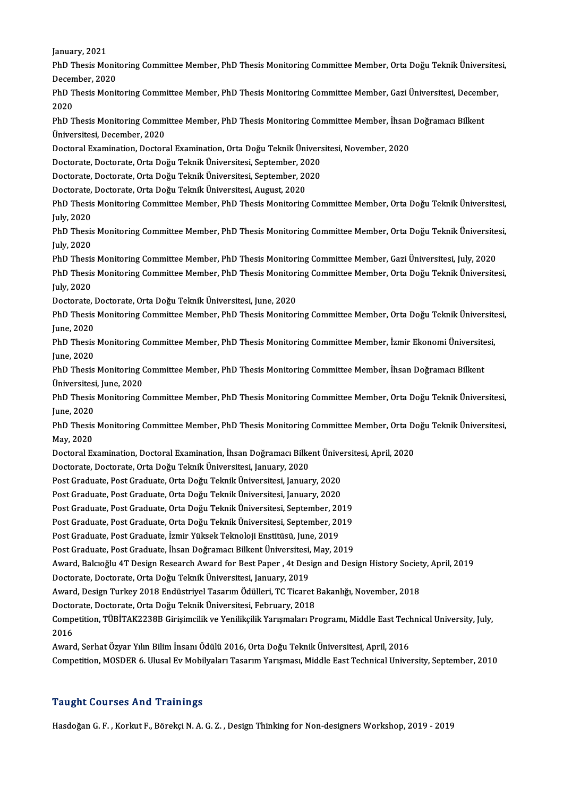January, 2021

January, 2021<br>PhD Thesis Monitoring Committee Member, PhD Thesis Monitoring Committee Member, Orta Doğu Teknik Üniversitesi,<br>Desambar, 2020 January, 2021<br>PhD Thesis Monit<br>December, 2020<br>PhD Thesis Monit PhD Thesis Monitoring Committee Member, PhD Thesis Monitoring Committee Member, Orta Doğu Teknik Üniversite:<br>December, 2020<br>PhD Thesis Monitoring Committee Member, PhD Thesis Monitoring Committee Member, Gazi Üniversitesi, Decen<br>PhD T<br>2020<br>מתח PhD Thesis Monitoring Committee Member, PhD Thesis Monitoring Committee Member, Gazi Üniversitesi, Decem<mark>l</mark><br>2020<br>PhD Thesis Monitoring Committee Member, PhD Thesis Monitoring Committee Member, İhsan Doğramacı Bilkent<br>Ünive 2020<br>PhD Thesis Monitoring Comm<br>Üniversitesi, December, 2020<br>Decteral Examination, Decter PhD Thesis Monitoring Committee Member, PhD Thesis Monitoring Committee Member, İhsan<br>Üniversitesi, December, 2020<br>Doctoral Examination, Doctoral Examination, Orta Doğu Teknik Üniversitesi, November, 2020<br>Doctorate Doctora

Üniversitesi, December, 2020<br>Doctoral Examination, Doctoral Examination, Orta Doğu Teknik Üniversitesi, November, 2020<br>Doctorate, Doctorate, Orta Doğu Teknik Üniversitesi, September, 2020

Doctoral Examination, Doctoral Examination, Orta Doğu Teknik Ünivers<br>Doctorate, Doctorate, Orta Doğu Teknik Üniversitesi, September, 2020<br>Doctorate, Doctorate, Orta Doğu Teknik Üniversitesi, September, 2020<br>Doctorate, Doct

Doctorate, Doctorate, Orta Doğu Teknik Üniversitesi, September, 20<br>Doctorate, Doctorate, Orta Doğu Teknik Üniversitesi, September, 20<br>Doctorate, Doctorate, Orta Doğu Teknik Üniversitesi, August, 2020<br>PhD Thesis Monitoring

Doctorate, Doctorate, Orta Doğu Teknik Üniversitesi, August, 2020

PhD Thesis Monitoring Committee Member, PhD Thesis Monitoring Committee Member, Orta Doğu Teknik Üniversitesi,<br>July, 2020 PhD Thesis Monitoring Committee Member, PhD Thesis Monitoring Committee Member, Orta Doğu Teknik Üniversitesi,<br>July, 2020<br>PhD Thesis Monitoring Committee Member, PhD Thesis Monitoring Committee Member, Orta Doğu Teknik Üni

July, 2020<br>PhD Thesis<br>July, 2020<br>PhD Thesis PhD Thesis Monitoring Committee Member, PhD Thesis Monitoring Committee Member, Orta Doğu Teknik Üniversite<br>July, 2020<br>PhD Thesis Monitoring Committee Member, PhD Thesis Monitoring Committee Member, Gazi Üniversitesi, July

July, 2020<br>PhD Thesis Monitoring Committee Member, PhD Thesis Monitoring Committee Member, Gazi Üniversitesi, July, 2020<br>PhD Thesis Monitoring Committee Member, PhD Thesis Monitoring Committee Member, Orta Doğu Teknik Üniv PhD Thesis Monitoring Committee Member, PhD Thesis Monitoring Committee Member, Gazi Üniversitesi, July, 2020<br>PhD Thesis Monitoring Committee Member, PhD Thesis Monitoring Committee Member, Orta Doğu Teknik Üniversite<br>July PhD Thesis Monitoring Committee Member, PhD Thesis Monitori<br>July, 2020<br>Doctorate, Doctorate, Orta Doğu Teknik Üniversitesi, June, 2020<br>PhD Thesis Monitoring Committee Member, PhD Thesis Monitori

July, 2020<br>Doctorate, Doctorate, Orta Doğu Teknik Üniversitesi, June, 2020<br>PhD Thesis Monitoring Committee Member, PhD Thesis Monitoring Committee Member, Orta Doğu Teknik Üniversitesi, Doctorate, l<br>PhD Thesis<br>June, 2020<br>PhD Thesis PhD Thesis Monitoring Committee Member, PhD Thesis Monitoring Committee Member, Orta Doğu Teknik Üniversite<br>June, 2020<br>PhD Thesis Monitoring Committee Member, PhD Thesis Monitoring Committee Member, İzmir Ekonomi Üniversit

June, 2020<br>PhD Thesis Monitoring Committee Member, PhD Thesis Monitoring Committee Member, İzmir Ekonomi Üniversitesi,<br>June, 2020 PhD Thesis Monitoring Committee Member, PhD Thesis Monitoring Committee Member, İzmir Ekonomi Üniversite<br>June, 2020<br>PhD Thesis Monitoring Committee Member, PhD Thesis Monitoring Committee Member, İhsan Doğramacı Bilkent<br>Ün

June, 2020<br>PhD Thesis Monitoring (<br>Üniversitesi, June, 2020<br>PhD Thesis Monitoring ( PhD Thesis Monitoring Committee Member, PhD Thesis Monitoring Committee Member, İhsan Doğramacı Bilkent<br>Üniversitesi, June, 2020<br>PhD Thesis Monitoring Committee Member, PhD Thesis Monitoring Committee Member, Orta Doğu Tek

Üniversitesi<br>PhD Thesis<br>June, 2020<br>PhD Thesis PhD Thesis Monitoring Committee Member, PhD Thesis Monitoring Committee Member, Orta Doğu Teknik Üniversitesi,<br>June, 2020<br>PhD Thesis Monitoring Committee Member, PhD Thesis Monitoring Committee Member, Orta Doğu Teknik Üni

June, 2020<br>PhD Thesis<br>May, 2020<br>Doctoral Ex PhD Thesis Monitoring Committee Member, PhD Thesis Monitoring Committee Member, Orta Doctoral<br>May, 2020<br>Doctoral Examination, Doctoral Examination, İhsan Doğramacı Bilkent Üniversitesi, April, 2020<br>Doctorate Doctorate Orta

May, 2020<br>Doctoral Examination, Doctoral Examination, İhsan Doğramacı Bilkent Üniversitesi, April, 2020<br>Doctorate, Doctorate, Orta Doğu Teknik Üniversitesi, January, 2020 Doctoral Examination, Doctoral Examination, İhsan Doğramacı Bilkent Ünive<br>Doctorate, Doctorate, Orta Doğu Teknik Üniversitesi, January, 2020<br>Post Graduate, Post Graduate, Orta Doğu Teknik Üniversitesi, January, 2020<br>Post C

Doctorate, Doctorate, Orta Doğu Teknik Üniversitesi, January, 2020<br>Post Graduate, Post Graduate, Orta Doğu Teknik Üniversitesi, January, 2020<br>Post Graduate, Post Graduate, Orta Doğu Teknik Üniversitesi, January, 2020<br>Post Post Graduate, Post Graduate, Orta Doğu Teknik Üniversitesi, January, 2020<br>Post Graduate, Post Graduate, Orta Doğu Teknik Üniversitesi, January, 2020<br>Post Graduate, Post Graduate, Orta Doğu Teknik Üniversitesi, September,

Post Graduate, Post Graduate, Orta Doğu Teknik Üniversitesi, January, 2020<br>Post Graduate, Post Graduate, Orta Doğu Teknik Üniversitesi, September, 2019<br>Post Graduate, Post Graduate, Orta Doğu Teknik Üniversitesi, September

Post Graduate, Post Graduate, Orta Doğu Teknik Üniversitesi, September, 2019

Post Graduate, Post Graduate, İhsan Doğramacı Bilkent Üniversitesi, May, 2019

Post Graduate, Post Graduate, İzmir Yüksek Teknoloji Enstitüsü, June, 2019<br>Post Graduate, Post Graduate, İhsan Doğramacı Bilkent Üniversitesi, May, 2019<br>Award, Balcıoğlu 4T Design Research Award for Best Paper , 4t Design Post Graduate, Post Graduate, İhsan Doğramacı Bilkent Üniversitesi,<br>Award, Balcıoğlu 4T Design Research Award for Best Paper , 4t Des:<br>Doctorate, Doctorate, Orta Doğu Teknik Üniversitesi, January, 2019<br>Aurard, Docian Turke Award, Balcıoğlu 4T Design Research Award for Best Paper , 4t Design and Design History Societ<br>Doctorate, Doctorate, Orta Doğu Teknik Üniversitesi, January, 2019<br>Award, Design Turkey 2018 Endüstriyel Tasarım Ödülleri, TC T

Doctorate, Doctorate, Orta Doğu Teknik Üniversitesi, January, 2019<br>Award, Design Turkey 2018 Endüstriyel Tasarım Ödülleri, TC Ticaret |<br>Doctorate, Doctorate, Orta Doğu Teknik Üniversitesi, February, 2018<br>Compatition, TÜBİT

Award, Design Turkey 2018 Endüstriyel Tasarım Ödülleri, TC Ticaret Bakanlığı, November, 2018<br>Doctorate, Doctorate, Orta Doğu Teknik Üniversitesi, February, 2018<br>Competition, TÜBİTAK2238B Girişimcilik ve Yenilikçilik Yarışm Docto<br>Comp<br>2016<br>Augus Competition, TÜBİTAK2238B Girişimcilik ve Yenilikçilik Yarışmaları Programı, Middle East Tech<br>2016<br>Award, Serhat Özyar Yılın Bilim İnsanı Ödülü 2016, Orta Doğu Teknik Üniversitesi, April, 2016<br>Competition, MOSDER 6, Ulugal

2016<br>Award, Serhat Özyar Yılın Bilim İnsanı Ödülü 2016, Orta Doğu Teknik Üniversitesi, April, 2016<br>Competition, MOSDER 6. Ulusal Ev Mobilyaları Tasarım Yarışması, Middle East Technical University, September, 2010

## Taught Courses And Trainings

Hasdoğan G.F., Korkut F., Börekçi N.A.G.Z., Design Thinking for Non-designers Workshop, 2019 - 2019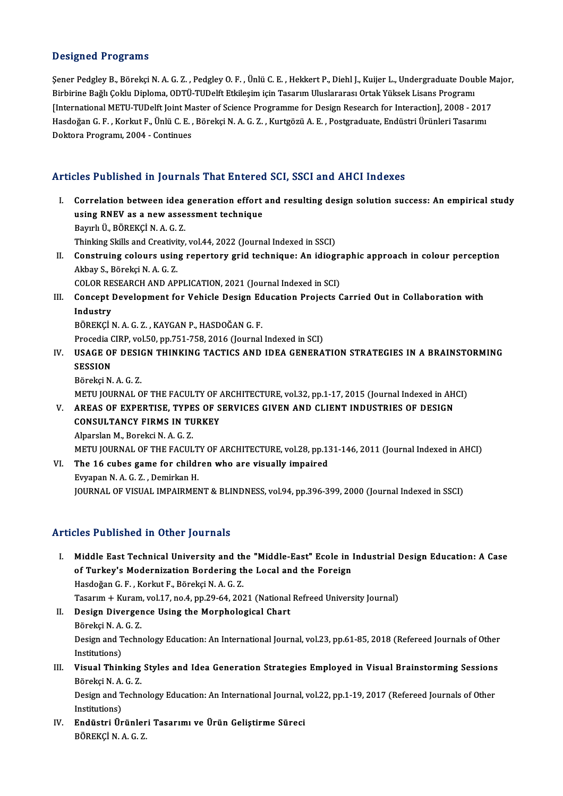#### Designed Programs

Designed Programs<br>Şener Pedgley B., Börekçi N. A. G. Z. , Pedgley O. F. , Ünlü C. E. , Hekkert P., Diehl J., Kuijer L., Undergraduate Double Major,<br>Birbirine Beğlı Çeklu Dinlama, ODTÜ TUDelft Etkilesim isin Tasarım Uluslar Biosignod 110gi dino<br>Sener Pedgley B., Börekçi N. A. G. Z. , Pedgley O. F. , Ünlü C. E. , Hekkert P., Diehl J., Kuijer L., Undergraduate Doul<br>Birbirine Bağlı Çoklu Diploma, ODTÜ-TUDelft Etkileşim için Tasarım Uluslararası Şener Pedgley B., Börekçi N. A. G. Z. , Pedgley O. F. , Ünlü C. E. , Hekkert P., Diehl J., Kuijer L., Undergraduate Double M<br>Birbirine Bağlı Çoklu Diploma, ODTÜ-TUDelft Etkileşim için Tasarım Uluslararası Ortak Yüksek Lisa Birbirine Bağlı Çoklu Diploma, ODTÜ-TUDelft Etkileşim için Tasarım Uluslararası Ortak Yüksek Lisans Programı<br>[International METU-TUDelft Joint Master of Science Programme for Design Research for Interaction], 2008 - 201<br>Ha [International METU-TUDelft Joint Ma<br>Hasdoğan G. F. , Korkut F., Ünlü C. E. ,<br>Doktora Programı, 2004 - Continues

## Articles Published in Journals That Entered SCI, SSCI and AHCI Indexes

- rticles Published in Journals That Entered SCI, SSCI and AHCI Indexes<br>I. Correlation between idea generation effort and resulting design solution success: An empirical study<br>using PNEV as a now assessment technique Except as nonce in journals that since or<br>Correlation between idea generation effort<br>using RNEV as a new assessment technique Correlation between idea<br>using RNEV as a new asse<br>Bayırlı Ü., BÖREKÇİ N. A. G. Z.<br>Thinking Skills and Creativity using RNEV as a new assessment technique<br>Bayırlı Ü., BÖREKÇİ N. A. G. Z.<br>Thinking Skills and Creativity, vol.44, 2022 (Journal Indexed in SSCI)<br>Construing seleurs using repertery grid technique: An idiogr Bayırlı Ü., BÖREKÇİ N. A. G. Z.<br>Thinking Skills and Creativity, vol.44, 2022 (Journal Indexed in SSCI)<br>II. Construing colours using repertory grid technique: An idiographic approach in colour perception<br>Akbay S. Böreksi N.
- Thinking Skills and Creativit<br>Construing colours usin<br>Akbay S., Börekçi N. A. G. Z.<br>COLOP PESEAPCH AND AP Construing colours using repertory grid technique: An idiographical<br>Akbay S., Börekçi N. A. G. Z.<br>COLOR RESEARCH AND APPLICATION, 2021 (Journal Indexed in SCI)<br>Consent Development for Vehisle Design Education Projects G Akbay S., Börekçi N. A. G. Z.<br>COLOR RESEARCH AND APPLICATION, 2021 (Journal Indexed in SCI)<br>III. Concept Development for Vehicle Design Education Projects Carried Out in Collaboration with<br>Industry
- COLOR RE<br>Concept |<br>Industry<br>PÖPEKCL! Concept Development for Vehicle Design Ed<br>Industry<br>BÖREKÇİ N. A. G. Z. , KAYGAN P., HASDOĞAN G. F.<br>Presedia CIPP vel 50 nn 751 759 2016 (Jaurnal

I<mark>ndustry</mark><br>BÖREKÇİ N. A. G. Z. , KAYGAN P., HASDOĞAN G. F.<br>Procedia CIRP, vol.50, pp.751-758, 2016 (Journal Indexed in SCI)<br>USACE OF DESICN THINKING TACTICS AND IDEA GENERA

BÖREKÇİ N. A. G. Z. , KAYGAN P., HASDOĞAN G. F.<br>Procedia CIRP, vol.50, pp.751-758, 2016 (Journal Indexed in SCI)<br>IV. USAGE OF DESIGN THINKING TACTICS AND IDEA GENERATION STRATEGIES IN A BRAINSTORMING<br>SESSION Procedia <mark>()</mark><br>USAGE OI<br>SESSION<br>Bëneksi N USAGE OF DESI<br>SESSION<br>Börekçi N. A. G. Z.<br>METU JOUPNAL O

SESSION<br>Börekçi N. A. G. Z.<br>METU JOURNAL OF THE FACULTY OF ARCHITECTURE, vol.32, pp.1-17, 2015 (Journal Indexed in AHCI) Börekçi N. A. G. Z.<br>METU JOURNAL OF THE FACULTY OF ARCHITECTURE, vol.32, pp.1-17, 2015 (Journal Indexed in AH)<br>V. AREAS OF EXPERTISE, TYPES OF SERVICES GIVEN AND CLIENT INDUSTRIES OF DESIGN<br>CONSULTANCY FIPMS IN TURKEY

METU JOURNAL OF THE FACULTY OF A<br>AREAS OF EXPERTISE, TYPES OF S<br>CONSULTANCY FIRMS IN TURKEY AREAS OF EXPERTISE, TYPE<br>CONSULTANCY FIRMS IN TU<br>Alparslan M., Borekci N. A. G. Z.<br>METU JOUPNAL OF THE FACUL CONSULTANCY FIRMS IN TURKEY<br>Alparslan M., Borekci N. A. G. Z.<br>METU JOURNAL OF THE FACULTY OF ARCHITECTURE, vol.28, pp.131-146, 2011 (Journal Indexed in AHCI)<br>The 16 subes game for shildren who are visually impaired Alparslan M., Borekci N. A. G. Z.<br>METU JOURNAL OF THE FACULTY OF ARCHITECTURE, vol.28, pp.13<br>VI. The 16 cubes game for children who are visually impaired<br>Eugene N. A. C. Z., Demirken H.

METU JOURNAL OF THE FACULT<br>The 16 cubes game for childi<br>Evyapan N. A. G. Z. , Demirkan H.<br>JOUPNAL OF VISUAL IMPAIPMEN VI. The 16 cubes game for children who are visually impaired<br>Evyapan N. A. G. Z. , Demirkan H.<br>JOURNAL OF VISUAL IMPAIRMENT & BLINDNESS, vol.94, pp.396-399, 2000 (Journal Indexed in SSCI)

## Articles Published in Other Journals

I. Middle East Technical University and the "Middle-East" Ecole in Industrial Design Education: A Case of Turkey's Modernization Bordering the Local and the Foreign Hasdoğan G.F., Korkut F., Börekçi N.A.G.Z. of Turkey's Modernization Bordering the Local and the Foreign<br>Hasdoğan G. F. , Korkut F., Börekçi N. A. G. Z.<br>Tasarım + Kuram, vol.17, no.4, pp.29-64, 2021 (National Refreed University Journal)<br>Dosian Diversence Heing the II. Design Divergence Using the Morphological Chart<br>Börekçi N. A. G. Z. Tasarım + Kuram<br>Design Diverger<br>Börekçi N. A. G. Z.<br>Design and Techn

Design and Technology Education: An International Journal, vol.23, pp.61-85, 2018 (Refereed Journals of Other Institutions) Design and Technology Education: An International Journal, vol.23, pp.61-85, 2018 (Refereed Journals of Other<br>Institutions)<br>III. Visual Thinking Styles and Idea Generation Strategies Employed in Visual Brainstorming Sessio

Institutions)<br>Visual Thinking<br>Börekçi N. A. G. Z.<br>Design and Techn Visual Thinking Styles and Idea Generation Strategies Employed in Visual Brainstorming Sessions<br>Börekçi N. A. G. Z.<br>Design and Technology Education: An International Journal, vol.22, pp.1-19, 2017 (Refereed Journals of Oth

Börekçi N. A. G. Z.<br>Design and Technology Education: An International Journal, vol.22, pp.1-19, 2017 (Refereed Journals of Other<br>Institutions) Design and Technology Education: An International Journal,<br>Institutions)<br>IV. Endüstri Ürünleri Tasarımı ve Ürün Geliştirme Süreci<br>PÖPEKÇİ N A C 7

Institutions)<br><mark>Endüstri Ürünler</mark><br>BÖREKÇİ N. A. G. Z.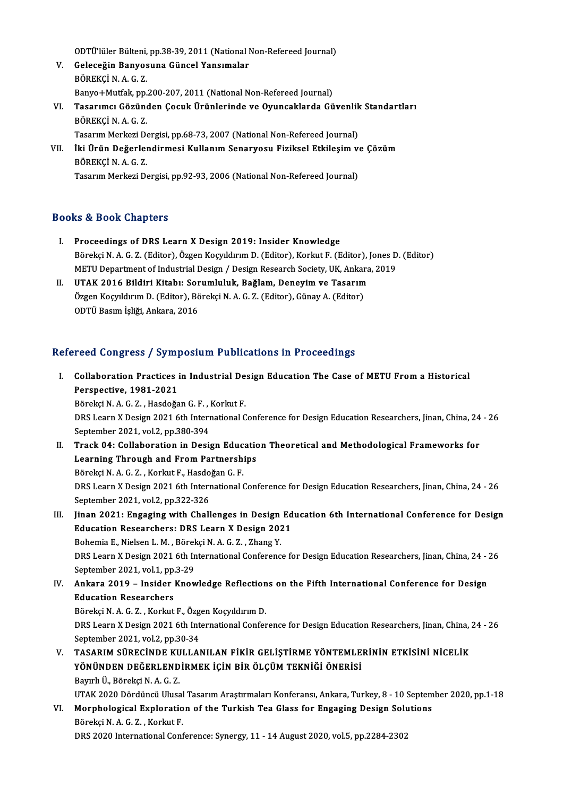ODTÜ'lüler Bülteni, pp.38-39, 2011 (National Non-Refereed Journal)<br>Celeseğin Banyosuna Cünsel Yansımalar

- V. Geleceğin Banyosuna Güncel Yansımalar ODTÜ'lüler Bülteni,<br>Geleceğin Banyos<br>BÖREKÇİ N.A.G.Z.<br>Panyo ! Mutfak nn Geleceğin Banyosuna Güncel Yansımalar<br>BÖREKÇİ N. A. G. Z.<br>Banyo+Mutfak, pp.200-207, 2011 (National Non-Refereed Journal)<br>Tasanıma: Göründen Casuk Ününlerinde ve Quunsaklande Gü BÖREKÇİ N. A. G. Z.<br>Banyo+Mutfak, pp.200-207, 2011 (National Non-Refereed Journal)<br>VI. Tasarımcı Gözünden Çocuk Ürünlerinde ve Oyuncaklarda Güvenlik Standartları<br>PÖPEKÇİ N. A. G. Z
- Banyo+Mutfak, pp.<br><mark>Tasarımcı Gözüne</mark><br>BÖREKÇİ N. A. G. Z.<br>Tasarım Merkezi De Tasarımcı Gözünden Çocuk Ürünlerinde ve Oyuncaklarda Güvenlik<br>BÖREKÇİ N. A. G. Z.<br>Tasarım Merkezi Dergisi, pp.68-73, 2007 (National Non-Refereed Journal)<br>İki Ürün Değerlendirmesi Kullanım Sonaryesu Fiziksel Etkilesim v. BÖREKÇİ N. A. G. Z.<br>Tasarım Merkezi Dergisi, pp.68-73, 2007 (National Non-Refereed Journal)<br>VII. İki Ürün Değerlendirmesi Kullanım Senaryosu Fiziksel Etkileşim ve Çözüm<br>PÖREKÇİ N.A.C. Z
- Tasarım Merkezi Dergisi, pp.68-73, 2007 (National Non-Refereed Journal)<br>İki Ürün Değerlendirmesi Kullanım Senaryosu Fiziksel Etkileşim v<br>BÖREKÇİ N. A. G. Z.<br>Tasarım Merkezi Dergisi, pp.92-93, 2006 (National Non-Refereed Jo İki Ürün Değerlendirmesi Kullanım Senaryosu Fiziksel Etkileşim v<br>BÖREKÇİ N. A. G. Z.<br>Tasarım Merkezi Dergisi, pp.92-93, 2006 (National Non-Refereed Journal)

## Books&Book Chapters

- I. Proceedings of DRS Learn X Design 2019: Insider Knowledge Börekçin.<br>Börekçi N. A. G. Z. (Editor), Özgen Koçyıldırım D. (Editor), Korkut F. (Editor), Jones D. (Editor)<br>METU Department of Industrial Design. ( Design Bossarsh Sosisty U. Ankara, 2010 Proceedings of DRS Learn X Design 2019: Insider Knowledge<br>Börekçi N. A. G. Z. (Editor), Özgen Koçyıldırım D. (Editor), Korkut F. (Editor), Jones D<br>METU Department of Industrial Design / Design Research Society, UK, Ankara, Börekçi N. A. G. Z. (Editor), Özgen Koçyıldırım D. (Editor), Korkut F. (Editor), J<br>METU Department of Industrial Design / Design Research Society, UK, Ankara<br>II. UTAK 2016 Bildiri Kitabı: Sorumluluk, Bağlam, Deneyim ve Tas
- METU Department of Industrial Design / Design Research Society, UK, Ankar<br>UTAK 2016 Bildiri Kitabı: Sorumluluk, Bağlam, Deneyim ve Tasarım<br>Özgen Koçyıldırım D. (Editor), Börekçi N. A. G. Z. (Editor), Günay A. (Editor)<br>ODTÜ UTAK 2016 Bildiri Kitabı: Sor<br>Özgen Koçyıldırım D. (Editor), Bö<br>ODTÜ Basım İşliği, Ankara, 2016

## 0DTÜ Basım İşliği, Ankara, 2016<br>Refereed Congress / Symposium Publications in Proceedings

efereed Congress / Symposium Publications in Proceedings<br>I. Collaboration Practices in Industrial Design Education The Case of METU From a Historical<br>Perspective 1981-2021 Perspective, 1981-2021<br>Perspective, 1981-2021<br>Përskej N.A.C.Z. Heedeës Perspective, 1981-2021<br>Börekçi N. A. G. Z. , Hasdoğan G. F. , Korkut F.

Perspective, 1981-2021<br>Börekçi N. A. G. Z. , Hasdoğan G. F. , Korkut F.<br>DRS Learn X Design 2021 6th International Conference for Design Education Researchers, Jinan, China, 24 - 26<br>Sontember 2021, vol 2, nn 280, 294. Börekçi N. A. G. Z. , Hasdoğan G. F. , J<br>DRS Learn X Design 2021 6th Intern<br>September 2021, vol.2, pp.380-394<br>Track 04: Callaboration in Desi DRS Learn X Design 2021 6th International Conference for Design Education Researchers, Jinan, China, 24<br>September 2021, vol.2, pp.380-394<br>II. Track 04: Collaboration in Design Education Theoretical and Methodological Frame

- September 2021, vol.2, pp.380-394<br>Track 04: Collaboration in Design Education<br>Learning Through and From Partnerships<br>Pëneksi N.A.C.7, Korkut E. Heedeëen C.E. Track 04: Collaboration in Design Educ<br>Learning Through and From Partnersh<br>Börekçi N. A. G. Z. , Korkut F., Hasdoğan G. F.<br>DPS Learn Y Design 2021 6th International ( Learning Through and From Partnerships<br>Börekçi N. A. G. Z. , Korkut F., Hasdoğan G. F.<br>DRS Learn X Design 2021 6th International Conference for Design Education Researchers, Jinan, China, 24 - 26<br>Sentember 2021, vol 2, nr Börekçi N. A. G. Z. , Korkut F., Hasdo<br>DRS Learn X Design 2021 6th Intern<br>September 2021, vol.2, pp.322-326<br>Jinan 2021: Engaging with Chall DRS Learn X Design 2021 6th International Conference for Design Education Researchers, Jinan, China, 24 - 26<br>September 2021, vol.2, pp.322-326<br>III. Jinan 2021: Engaging with Challenges in Design Education 6th International
- September 2021, vol.2, pp.322-326<br>III. Jinan 2021: Engaging with Challenges in Design Education 6th International Conference for Design<br>Education Researchers: DRS Learn X Design 2021 Jinan 2021: Engaging with Challenges in Design<br>Education Researchers: DRS Learn X Design 202<br>Bohemia E., Nielsen L. M. , Börekçi N. A. G. Z. , Zhang Y.<br>DPS Learn X Design 2021 6th International Conferenc DRS Learn X Design 2021 6th International Conference for Design Education Researchers, Jinan, China, 24 - 26<br>September 2021, vol.1, pp.3-29 Bohemia E., Nielsen L. M. , Börel<br>DRS Learn X Design 2021 6th In<br>September 2021, vol.1, pp.3-29<br>Ankara 2019 – Insider Knou IV. DRS Learn X Design 2021 6th International Conference for Design Education Researchers, Jinan, China, 24 -<br>September 2021, vol.1, pp.3-29<br>IV. Ankara 2019 – Insider Knowledge Reflections on the Fifth International Confer
- September 2021, vol.1, pp.<br>Ankara 2019 Insider<br>Education Researchers<br>Përeksi N.A.C.7 Kerlut Ankara 2019 – Insider Knowledge Reflection<br>Education Researchers<br>Börekçi N. A. G. Z. , Korkut F., Özgen Koçyıldırım D.<br>DPS Learn Y Design 2021 6th International Confor

Education Researchers<br>Börekçi N. A. G. Z. , Korkut F., Özgen Koçyıldırım D.<br>DRS Learn X Design 2021 6th International Conference for Design Education Researchers, Jinan, China, 24 - 26<br>Sentember 2021, vol 2, nn 20, 24 Börekçi N. A. G. Z. , Korkut F., Özg<br>DRS Learn X Design 2021 6th Int<br>September 2021, vol.2, pp.30-34<br>TASARIM SÜRECİNDE KULLAL DRS Learn X Design 2021 6th International Conference for Design Education Researchers, Jinan, China,<br>September 2021, vol.2, pp.30-34<br>V. TASARIM SÜRECİNDE KULLANILAN FİKİR GELİŞTİRME YÖNTEMLERİNİN ETKİSİNİ NİCELİK<br>VÖNÜNDEN

- September 2021, vol.2, pp.30-34<br>TASARIM SÜRECİNDE KULLANILAN FİKİR GELİŞTİRME YÖNTEMLE<br>YÖNÜNDEN DEĞERLENDİRMEK İÇİN BİR ÖLÇÜM TEKNİĞİ ÖNERİSİ<br>Ravul Ü. Böneksi N A G 7 TASARIM SÜRECİNDE KU<br>YÖNÜNDEN DEĞERLEND<br>Bayırlı Ü., Börekçi N. A. G. Z.<br>UTAK 2020 Dördüngü Uluca Bayırlı Ü., Börekçi N. A. G. Z.<br>UTAK 2020 Dördüncü Ulusal Tasarım Araştırmaları Konferansı, Ankara, Turkey, 8 - 10 September 2020, pp.1-18
- Bayırlı Ü., Börekçi N. A. G. Z.<br>UTAK 2020 Dördüncü Ulusal Tasarım Araştırmaları Konferansı, Ankara, Turkey, 8 10 Septem<br>VI. Morphological Exploration of the Turkish Tea Glass for Engaging Design Solutions<br>Pöreksi N. A. G UTAK 2020 Dördüncü Ulusal<br>Morphological Exploratio<br>Börekçi N. A. G. Z. , Korkut F.<br>DPS 2020 International Cont Morphological Exploration of the Turkish Tea Glass for Engaging Design Solu<br>Börekçi N. A. G. Z. , Korkut F.<br>DRS 2020 International Conference: Synergy, 11 - 14 August 2020, vol.5, pp.2284-2302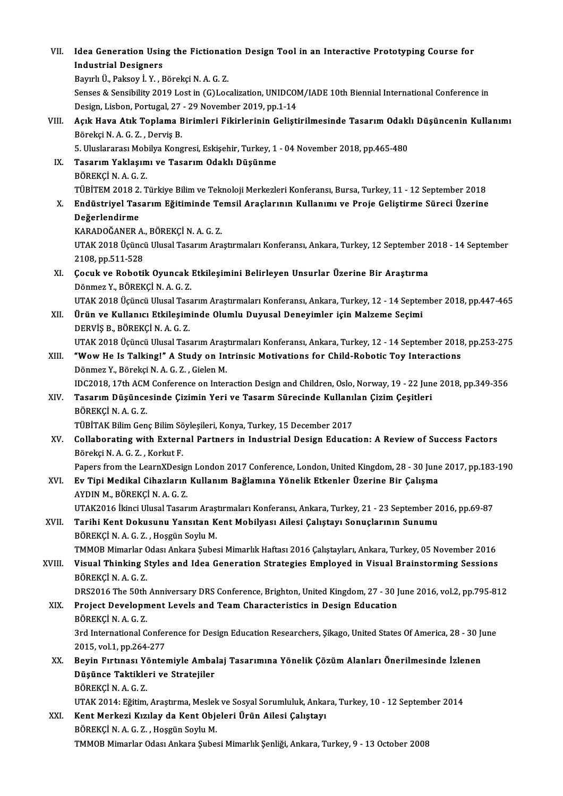| VII.   | Idea Generation Using the Fictionation Design Tool in an Interactive Prototyping Course for                   |
|--------|---------------------------------------------------------------------------------------------------------------|
|        | <b>Industrial Designers</b>                                                                                   |
|        | Bayırlı Ü., Paksoy İ. Y., Börekçi N. A. G. Z.                                                                 |
|        | Senses & Sensibility 2019 Lost in (G)Localization, UNIDCOM/IADE 10th Biennial International Conference in     |
|        | Design, Lisbon, Portugal, 27 - 29 November 2019, pp.1-14                                                      |
| VIII.  | Açık Hava Atık Toplama Birimleri Fikirlerinin Geliştirilmesinde Tasarım Odaklı Düşüncenin Kullanımı           |
|        | Börekçi N. A. G. Z., Derviş B.                                                                                |
|        | 5. Uluslararası Mobilya Kongresi, Eskişehir, Turkey, 1 - 04 November 2018, pp.465-480                         |
| IX.    | Tasarım Yaklaşımı ve Tasarım Odaklı Düşünme                                                                   |
|        | BÖREKÇİNAGZ                                                                                                   |
|        | TÜBİTEM 2018 2. Türkiye Bilim ve Teknoloji Merkezleri Konferansı, Bursa, Turkey, 11 - 12 September 2018       |
| X.     | Endüstriyel Tasarım Eğitiminde Temsil Araçlarının Kullanımı ve Proje Geliştirme Süreci Üzerine                |
|        | Değerlendirme                                                                                                 |
|        | KARADOĞANER A, BÖREKÇİ N. A. G. Z.                                                                            |
|        | UTAK 2018 Üçüncü Ulusal Tasarım Araştırmaları Konferansı, Ankara, Turkey, 12 September 2018 - 14 September    |
|        | 2108, pp 511-528                                                                                              |
| XI.    | Çocuk ve Robotik Oyuncak Etkileşimini Belirleyen Unsurlar Üzerine Bir Araştırma                               |
|        | Dönmez Y., BÖREKÇİ N. A. G. Z.                                                                                |
|        | UTAK 2018 Üçüncü Ulusal Tasarım Araştırmaları Konferansı, Ankara, Turkey, 12 - 14 September 2018, pp.447-465  |
| XII.   | Ürün ve Kullanıcı Etkileşiminde Olumlu Duyusal Deneyimler için Malzeme Seçimi                                 |
|        | DERVIŞ B., BÖREKÇİ N. A. G. Z.                                                                                |
|        | UTAK 2018 Üçüncü Ulusal Tasarım Araştırmaları Konferansı, Ankara, Turkey, 12 - 14 September 2018, pp.253-275  |
| XIII.  | "Wow He Is Talking!" A Study on Intrinsic Motivations for Child-Robotic Toy Interactions                      |
|        | Dönmez Y., Börekçi N. A. G. Z., Gielen M.                                                                     |
|        | IDC2018, 17th ACM Conference on Interaction Design and Children, Oslo, Norway, 19 - 22 June 2018, pp.349-356  |
| XIV.   | Tasarım Düşüncesinde Çizimin Yeri ve Tasarm Sürecinde Kullanılan Çizim Çeşitleri                              |
|        | BÖREKÇİNAGZ                                                                                                   |
|        | TÜBİTAK Bilim Genç Bilim Söyleşileri, Konya, Turkey, 15 December 2017                                         |
| XV.    | Collaborating with External Partners in Industrial Design Education: A Review of Success Factors              |
|        | Börekçi N.A.G.Z., Korkut F.                                                                                   |
|        | Papers from the LearnXDesign London 2017 Conference, London, United Kingdom, 28 - 30 June 2017, pp.183-190    |
| XVI.   | Ev Tipi Medikal Cihazların Kullanım Bağlamına Yönelik Etkenler Üzerine Bir Çalışma                            |
|        | AYDIN M., BÖREKÇİ N. A. G. Z.                                                                                 |
|        | UTAK2016 İkinci Ulusal Tasarım Araştırmaları Konferansı, Ankara, Turkey, 21 - 23 September 2016, pp.69-87     |
| XVII.  | Tarihi Kent Dokusunu Yansıtan Kent Mobilyası Ailesi Çalıştayı Sonuçlarının Sunumu                             |
|        | BÖREKÇİ N. A. G. Z., Hoşgün Soylu M.                                                                          |
|        | TMMOB Mimarlar Odası Ankara Şubesi Mimarlık Haftası 2016 Çalıştayları, Ankara, Turkey, 05 November 2016       |
| XVIII. | Visual Thinking Styles and Idea Generation Strategies Employed in Visual Brainstorming Sessions               |
|        | BÖREKÇİNAGZ                                                                                                   |
|        | DRS2016 The 50th Anniversary DRS Conference, Brighton, United Kingdom, 27 - 30 June 2016, vol.2, pp.795-812   |
| XIX.   | Project Development Levels and Team Characteristics in Design Education                                       |
|        | BÖREKÇİNAGZ                                                                                                   |
|        | 3rd International Conference for Design Education Researchers, Şikago, United States Of America, 28 - 30 June |
|        | 2015, vol 1, pp 264-277                                                                                       |
| XX.    | Beyin Fırtınası Yöntemiyle Ambalaj Tasarımına Yönelik Çözüm Alanları Önerilmesinde İzlenen                    |
|        | Düşünce Taktikleri ve Stratejiler                                                                             |
|        | BÖREKÇİNAGZ                                                                                                   |
|        | UTAK 2014: Eğitim, Araştırma, Meslek ve Sosyal Sorumluluk, Ankara, Turkey, 10 - 12 September 2014             |
| XXI.   | Kent Merkezi Kızılay da Kent Objeleri Ürün Ailesi Çalıştayı                                                   |
|        | BÖREKÇİ N. A. G. Z., Hoşgün Soylu M.                                                                          |
|        | TMMOB Mimarlar Odası Ankara Şubesi Mimarlık Şenliği, Ankara, Turkey, 9 - 13 October 2008                      |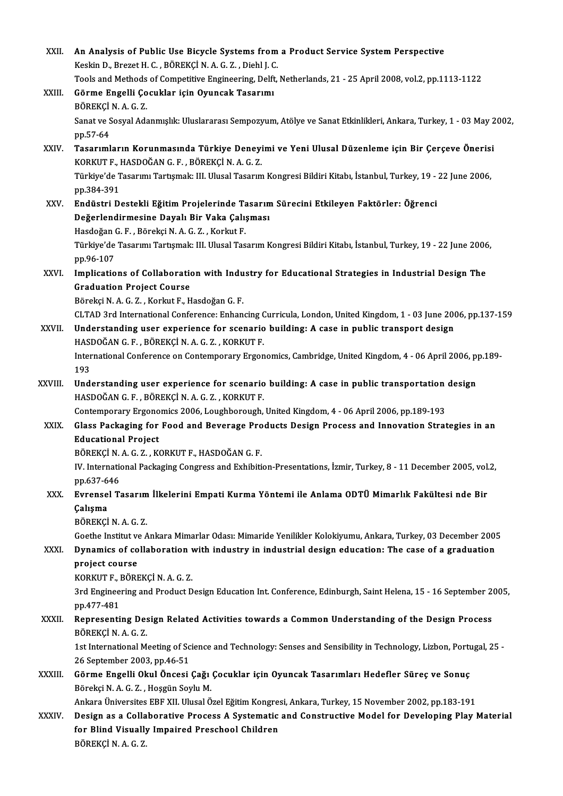| XXII.   | An Analysis of Public Use Bicycle Systems from a Product Service System Perspective                                                            |
|---------|------------------------------------------------------------------------------------------------------------------------------------------------|
|         | Keskin D., Brezet H. C., BÖREKÇİ N. A. G. Z., Diehl J. C.                                                                                      |
|         | Tools and Methods of Competitive Engineering, Delft, Netherlands, 21 - 25 April 2008, vol.2, pp.1113-1122                                      |
| XXIII.  | Görme Engelli Çocuklar için Oyuncak Tasarımı                                                                                                   |
|         | BÖREKÇİNAGZ                                                                                                                                    |
|         | Sanat ve Sosyal Adanmışlık: Uluslararası Sempozyum, Atölye ve Sanat Etkinlikleri, Ankara, Turkey, 1 - 03 May 2002,                             |
|         | pp 57-64                                                                                                                                       |
| XXIV.   | Tasarımların Korunmasında Türkiye Deneyimi ve Yeni Ulusal Düzenleme için Bir Çerçeve Önerisi<br>KORKUT F., HASDOĞAN G. F., BÖREKÇİ N. A. G. Z. |
|         | Türkiye'de Tasarımı Tartışmak: III. Ulusal Tasarım Kongresi Bildiri Kitabı, İstanbul, Turkey, 19 - 22 June 2006,                               |
|         | pp 384-391                                                                                                                                     |
| XXV.    | Endüstri Destekli Eğitim Projelerinde Tasarım Sürecini Etkileyen Faktörler: Öğrenci                                                            |
|         | Değerlendirmesine Dayalı Bir Vaka Çalışması                                                                                                    |
|         | Hasdoğan G.F., Börekçi N.A.G.Z., Korkut F.                                                                                                     |
|         | Türkiye'de Tasarımı Tartışmak: III. Ulusal Tasarım Kongresi Bildiri Kitabı, İstanbul, Turkey, 19 - 22 June 2006,                               |
|         | pp.96-107                                                                                                                                      |
| XXVI.   | Implications of Collaboration with Industry for Educational Strategies in Industrial Design The                                                |
|         | <b>Graduation Project Course</b>                                                                                                               |
|         | Börekçi N. A. G. Z., Korkut F., Hasdoğan G. F.                                                                                                 |
|         | CLTAD 3rd International Conference: Enhancing Curricula, London, United Kingdom, 1 - 03 June 2006, pp.137-159                                  |
| XXVII.  | Understanding user experience for scenario building: A case in public transport design                                                         |
|         | HASDOĞAN G. F., BÖREKÇİ N. A. G. Z., KORKUT F.                                                                                                 |
|         | International Conference on Contemporary Ergonomics, Cambridge, United Kingdom, 4 - 06 April 2006, pp.189-                                     |
|         | 193                                                                                                                                            |
| XXVIII. | Understanding user experience for scenario building: A case in public transportation design                                                    |
|         | HASDOĞAN G.F., BÖREKÇİ N.A.G.Z., KORKUT F.                                                                                                     |
|         | Contemporary Ergonomics 2006, Loughborough, United Kingdom, 4 - 06 April 2006, pp.189-193                                                      |
| XXIX.   | Glass Packaging for Food and Beverage Products Design Process and Innovation Strategies in an                                                  |
|         | <b>Educational Project</b>                                                                                                                     |
|         | BÖREKÇİN A G Z , KORKUT F , HASDOĞAN G F                                                                                                       |
|         | IV. International Packaging Congress and Exhibition-Presentations, İzmir, Turkey, 8 - 11 December 2005, vol.2,                                 |
|         | pp.637-646                                                                                                                                     |
| XXX.    | Evrensel Tasarım İlkelerini Empati Kurma Yöntemi ile Anlama ODTÜ Mimarlık Fakültesi nde Bir                                                    |
|         | Çalışma                                                                                                                                        |
|         | BÖREKÇİNAGZ                                                                                                                                    |
|         | Goethe Institut ve Ankara Mimarlar Odası: Mimaride Yenilikler Kolokiyumu, Ankara, Turkey, 03 December 2005                                     |
| XXXI.   | Dynamics of collaboration with industry in industrial design education: The case of a graduation                                               |
|         | project course                                                                                                                                 |
|         | KORKUT F., BÖREKÇİ N. A. G. Z.                                                                                                                 |
|         | 3rd Engineering and Product Design Education Int. Conference, Edinburgh, Saint Helena, 15 - 16 September 2005,                                 |
|         | pp 477-481                                                                                                                                     |
| XXXII.  | Representing Design Related Activities towards a Common Understanding of the Design Process                                                    |
|         | BÖREKÇİNAGZ                                                                                                                                    |
|         | 1st International Meeting of Science and Technology: Senses and Sensibility in Technology, Lizbon, Portugal, 25                                |
|         | 26 September 2003, pp 46-51                                                                                                                    |
| XXXIII. | Görme Engelli Okul Öncesi Çağı Çocuklar için Oyuncak Tasarımları Hedefler Süreç ve Sonuç                                                       |
|         | Börekçi N. A. G. Z., Hoşgün Soylu M.                                                                                                           |
|         | Ankara Üniversites EBF XII. Ulusal Özel Eğitim Kongresi, Ankara, Turkey, 15 November 2002, pp.183-191                                          |
| XXXIV.  | Design as a Collaborative Process A Systematic and Constructive Model for Developing Play Material                                             |
|         | for Blind Visually Impaired Preschool Children                                                                                                 |
|         | BÖREKÇİNAGZ                                                                                                                                    |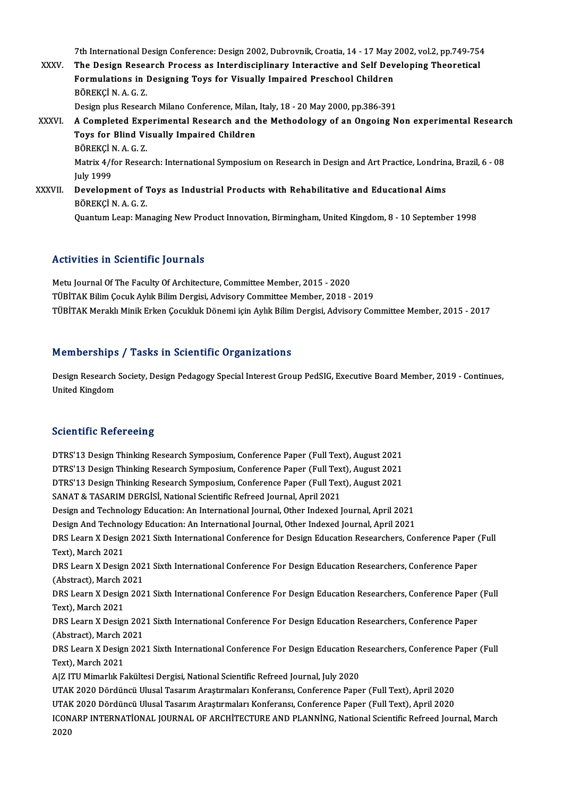7th International Design Conference: Design 2002, Dubrovnik, Croatia, 14 - 17 May 2002, vol.2, pp.749-754<br>The Design Bessensh Process as Intendisciplinery Intensative and Self Developing Theoretical

7th International Design Conference: Design 2002, Dubrovnik, Croatia, 14 - 17 May 2002, vol.2, pp.749-754<br>XXXV. The Design Research Process as Interdisciplinary Interactive and Self Developing Theoretical 7th International Design Conference: Design 2002, Dubrovnik, Croatia, 14 - 17 May :<br>The Design Research Process as Interdisciplinary Interactive and Self Dev<br>Formulations in Designing Toys for Visually Impaired Preschool C The Design Research Process as Interdisciplinary Interactive and Self Developing Theoretical<br>Formulations in Designing Toys for Visually Impaired Preschool Children<br>BÖREKCİN.A.G.Z. Formulations in Designing Toys for Visually Impaired Preschool Children<br>BÖREKÇİ N. A. G. Z.<br>Design plus Research Milano Conference, Milan, Italy, 18 - 20 May 2000, pp.386-391<br>A Completed Experimental Besearch and the Metho XXXVI. A Completed Experimental Research and the Methodology of an Ongoing Non experimental Research Design plus Research Milano Conference, Milan,<br>A Completed Experimental Research and t<br>Toys for Blind Visually Impaired Children<br>PÖPEKCLN A C 7 Toys for Blind Visually Impaired Children<br>BÖREKÇİ N. A. G. Z. Toys for Blind Visually Impaired Children<br>BÖREKÇİ N. A. G. Z.<br>Matrix 4/for Research: International Symposium on Research in Design and Art Practice, Londrina, Brazil, 6 - 08 BÖREKÇİ<br>Matrix 4/f<br>July 1999<br>Davalann Matrix 4/for Research: International Symposium on Research in Design and Art Practice, Londrin<br>July 1999<br>XXXVII. Development of Toys as Industrial Products with Rehabilitative and Educational Aims<br>PÖPEKCI N.A.C.Z July 1999<br><mark>Development of</mark> 1<br>BÖREKÇİ N. A. G. Z.<br>Quantum Leapı Mal BÖREKÇİ N. A. G. Z.<br>Quantum Leap: Managing New Product Innovation, Birmingham, United Kingdom, 8 - 10 September 1998

## Activities in Scientific Journals

Metu Journal Of The Faculty Of Architecture, Committee Member, 2015 - 2020 TÜBİTAK Bilim Çocuk Aylık Bilim Dergisi, Advisory Committee Member, 2018 - 2019 TÜBİTAK Meraklı Minik Erken Çocukluk Dönemi için Aylık Bilim Dergisi, Advisory Committee Member, 2015 - 2017

### Memberships / Tasks in Scientific Organizations

Memberships / Tasks in Scientific Organizations<br>Design Research Society, Design Pedagogy Special Interest Group PedSIG, Executive Board Member, 2019 - Continues,<br>United Kingdom nember Sirps<br>Design Research<br>United Kingdom

## United Kingdom<br>Scientific Refereeing

DTRS'13 Design Thinking Research Symposium, Conference Paper (Full Text), August 2021 DTRS'13 Design Thinking Research Symposium, Conference Paper (Full Text), August 2021<br>DTRS'13 Design Thinking Research Symposium, Conference Paper (Full Text), August 2021<br>DTRS'13 Design Thinking Research Symposium, Confer DTRS'13 Design Thinking Research Symposium, Conference Paper (Full Text), August 2021<br>DTRS'13 Design Thinking Research Symposium, Conference Paper (Full Text), August 2021<br>DTRS'13 Design Thinking Research Symposium, Confer DTRS'13 Design Thinking Research Symposium, Conference Paper (Full Tex<br>DTRS'13 Design Thinking Research Symposium, Conference Paper (Full Tex<br>SANAT & TASARIM DERGİSİ, National Scientific Refreed Journal, April 2021<br>Design DTRS'13 Design Thinking Research Symposium, Conference Paper (Full Text), August 2021<br>SANAT & TASARIM DERGISI, National Scientific Refreed Journal, April 2021<br>Design and Technology Education: An International Journal, Othe SANAT & TASARIM DERGISI, National Scientific Refreed Journal, April 2021<br>Design and Technology Education: An International Journal, Other Indexed Journal, April 2021<br>Design And Technology Education: An International Journa DRS Learn X Design 2021 Sixth International Conference for Design Education Researchers, Conference Paper (Full Text), March 2021 Design And Technology Education: An International Journal, Other Indexed Journal, April 2021 DRS Learn X Design 2021 Sixth International Conference for Design Education Researchers, Conference Paper (<br>Text), March 2021<br>DRS Learn X Design 2021 Sixth International Conference For Design Education Researchers, Confere Text), March 2021<br>DRS Learn X Design 202<br>(Abstract), March 2021<br>DPS Learn X Design 202 DRS Learn X Design 2021 Sixth International Conference For Design Education Researchers, Conference Paper<br>(Abstract), March 2021<br>DRS Learn X Design 2021 Sixth International Conference For Design Education Researchers, Conf (Abstract), March 2<br>DRS Learn X Design<br>Text), March 2021<br>DBS Learn X Design DRS Learn X Design 2021 Sixth International Conference For Design Education Researchers, Conference Paper<br>Text), March 2021<br>DRS Learn X Design 2021 Sixth International Conference For Design Education Researchers, Conferenc Text), March 2021<br>DRS Learn X Design 2021 Sixth International Conference For Design Education Researchers, Conference Paper<br>(Abstract), March 2021 DRS Learn X Design 2021 Sixth International Conference For Design Education Researchers, Conference Paper<br>(Abstract), March 2021<br>DRS Learn X Design 2021 Sixth International Conference For Design Education Researchers, Conf (Abstract), March 2<br>DRS Learn X Design<br>Text), March 2021<br>Alz ITU Mimarkk Es Text), March 2021<br>A|Z ITU Mimarlık Fakültesi Dergisi, National Scientific Refreed Journal, July 2020 Text), March 2021<br>A|Z ITU Mimarlık Fakültesi Dergisi, National Scientific Refreed Journal, July 2020<br>UTAK 2020 Dördüncü Ulusal Tasarım Araştırmaları Konferansı, Conference Paper (Full Text), April 2020<br>UTAK 2020 Dördüncü U A|Z ITU Mimarlık Fakültesi Dergisi, National Scientific Refreed Journal, July 2020<br>UTAK 2020 Dördüncü Ulusal Tasarım Araştırmaları Konferansı, Conference Paper (Full Text), April 2020<br>UTAK 2020 Dördüncü Ulusal Tasarım Araş UTAK 2020 Dördüncü Ulusal Tasarım Araştırmaları Konferansı, Conference Paper (Full Text), April 2020<br>UTAK 2020 Dördüncü Ulusal Tasarım Araştırmaları Konferansı, Conference Paper (Full Text), April 2020<br>ICONARP INTERNATİONA UTAK<br>ICON<br>2020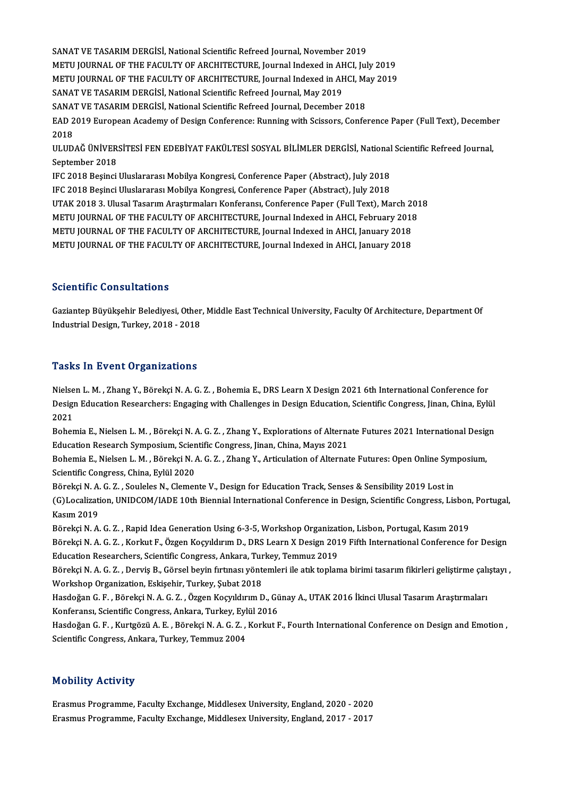SANAT VE TASARIM DERGİSİ, National Scientific Refreed Journal, November 2019 SANAT VE TASARIM DERGISI, National Scientific Refreed Journal, November 2019<br>METU JOURNAL OF THE FACULTY OF ARCHITECTURE, Journal Indexed in AHCI, July 2019<br>METU JOURNAL OF THE FACULTY OF ARCHITECTURE, Journal Indexed in A SANAT VE TASARIM DERGISI, National Scientific Refreed Journal, November 2019<br>METU JOURNAL OF THE FACULTY OF ARCHITECTURE, Journal Indexed in AHCI, July 2019<br>METU JOURNAL OF THE FACULTY OF ARCHITECTURE, Journal Indexed in A METU JOURNAL OF THE FACULTY OF ARCHITECTURE, Journal Indexed in AH<br>METU JOURNAL OF THE FACULTY OF ARCHITECTURE, Journal Indexed in AH<br>SANAT VE TASARIM DERGİSİ, National Scientific Refreed Journal, May 2019<br>SANAT VE TASARIM METU JOURNAL OF THE FACULTY OF ARCHITECTURE, Journal Indexed in AHCI, Manders of the FASARIM DERGISI, National Scientific Refreed Journal, May 2019<br>SANAT VE TASARIM DERGISI, National Scientific Refreed Journal, December 20 SANAT VE TASARIM DERGİSİ, National Scientific Refreed Journal, May 2019<br>SANAT VE TASARIM DERGİSİ, National Scientific Refreed Journal, December 2018<br>EAD 2019 European Academy of Design Conference: Running with Scissors, Co SANAT VE TASARIM DERGİSİ, National Scientific Refreed Journal, December 2018<br>EAD 2019 European Academy of Design Conference: Running with Scissors, Confe<br>2018 EAD 2019 European Academy of Design Conference: Running with Scissors, Conference Paper (Full Text), Decembe<br>2018<br>ULUDAĞ ÜNİVERSİTESİ FEN EDEBİYAT FAKÜLTESİ SOSYAL BİLİMLER DERGİSİ, National Scientific Refreed Journal,<br>Sen ULUDAĞ ÜNİVERSİTESİ FEN EDEBİYAT FAKÜLTESİ SOSYAL BİLİMLER DERGİSİ, National Scientific Refreed Journal,<br>September 2018 ULUDAĞ ÜNİVERSİTESİ FEN EDEBİYAT FAKÜLTESİ SOSYAL BİLİMLER DERGİSİ, National<br>September 2018<br>IFC 2018 Beşinci Uluslararası Mobilya Kongresi, Conference Paper (Abstract), July 2018<br>IEC 2018 Besinci Uluslararası Mobilya Kongr September 2018<br>IFC 2018 Beşinci Uluslararası Mobilya Kongresi, Conference Paper (Abstract), July 2018<br>IFC 2018 Beşinci Uluslararası Mobilya Kongresi, Conference Paper (Abstract), July 2018<br>UTAK 2018 3. Ulusel Teserum Arest IFC 2018 Beşinci Uluslararası Mobilya Kongresi, Conference Paper (Abstract), July 2018<br>UTAK 2018 3. Ulusal Tasarım Araştırmaları Konferansı, Conference Paper (Full Text), March 2018 METU JOURNAL OF THE FACULTY OF ARCHITECTURE, Journal Indexed in AHCI, February 2018 UTAK 2018 3. Ulusal Tasarım Araştırmaları Konferansı, Conference Paper (Full Text), March 20<br>METU JOURNAL OF THE FACULTY OF ARCHITECTURE, Journal Indexed in AHCI, February 2018<br>METU JOURNAL OF THE FACULTY OF ARCHITECTURE, METU JOURNAL OF THE FACULTY OF ARCHITECTURE, Journal Indexed in AHCI, February 2018<br>METU JOURNAL OF THE FACULTY OF ARCHITECTURE, Journal Indexed in AHCI, January 2018<br>METU JOURNAL OF THE FACULTY OF ARCHITECTURE, Journal In METU JOURNAL OF THE FACULTY OF ARCHITECTURE, Journal Indexed in AHCI, January 2018<br>Scientific Consultations

Gaziantep Büyükşehir Belediyesi, Other, Middle East Technical University, Faculty Of Architecture, Department Of Industrial Design, Turkey, 2018 - 2018

#### **Tasks In Event Organizations**

Nielsen L. M., Zhang Y., Börekçi N. A. G. Z., Bohemia E., DRS Learn X Design 2021 6th International Conference for Tasilo III Brone of garmaterons<br>Nielsen L. M. , Zhang Y., Börekçi N. A. G. Z. , Bohemia E., DRS Learn X Design 2021 6th International Conference for<br>Design Education Researchers: Engaging with Challenges in Design Educatio Nielse<br>Design<br>2021<br>Beher Design Education Researchers: Engaging with Challenges in Design Education, Scientific Congress, Jinan, China, Eylül<br>2021<br>Bohemia E., Nielsen L. M. , Börekçi N. A. G. Z. , Zhang Y., Explorations of Alternate Futures 2021 I

2021<br>Bohemia E., Nielsen L. M. , Börekçi N. A. G. Z. , Zhang Y., Explorations of Alternate Futures 2021 International Design<br>Education Research Symposium, Scientific Congress, Jinan, China, Mayıs 2021 Bohemia E., Nielsen L. M. , Börekçi N. A. G. Z. , Zhang Y., Explorations of Alternate Futures 2021 International Desig<br>Education Research Symposium, Scientific Congress, Jinan, China, Mayıs 2021<br>Bohemia E., Nielsen L. M. ,

Education Research Symposium, Scien<br>Bohemia E., Nielsen L. M. , Börekçi N. /<br>Scientific Congress, China, Eylül 2020<br>Böreksi N. A. G. 7., Saulalas N. Clamar Bohemia E., Nielsen L. M. , Börekçi N. A. G. Z. , Zhang Y., Articulation of Alternate Futures: Open Online Sym<br>Scientific Congress, China, Eylül 2020<br>Börekçi N. A. G. Z. , Souleles N., Clemente V., Design for Education Tra

Scientific Congress, China, Eylül 2020<br>Börekçi N. A. G. Z. , Souleles N., Clemente V., Design for Education Track, Senses & Sensibility 2019 Lost in<br>(G)Localization, UNIDCOM/IADE 10th Biennial International Conference in D Börekçi N. A.<br>(G)Localizati<br>Kasım 2019<br>Pörekçi N. A (G)Localization, UNIDCOM/IADE 10th Biennial International Conference in Design, Scientific Congress, Lisbon<br>Kasım 2019<br>Börekçi N. A. G. Z. , Rapid Idea Generation Using 6-3-5, Workshop Organization, Lisbon, Portugal, Kasım

Kasım 2019<br>Börekçi N. A. G. Z. , Rapid Idea Generation Using 6-3-5, Workshop Organization, Lisbon, Portugal, Kasım 2019<br>Börekçi N. A. G. Z. , Korkut F., Özgen Koçyıldırım D., DRS Learn X Design 2019 Fifth International Con Börekçi N. A. G. Z. , Rapid Idea Generation Using 6-3-5, Workshop Organizat<br>Börekçi N. A. G. Z. , Korkut F., Özgen Koçyıldırım D., DRS Learn X Design 201<br>Education Researchers, Scientific Congress, Ankara, Turkey, Temmuz 2 Börekçi N. A. G. Z. , Korkut F., Özgen Koçyıldırım D., DRS Learn X Design 2019 Fifth International Conference for Design<br>Education Researchers, Scientific Congress, Ankara, Turkey, Temmuz 2019<br>Börekçi N. A. G. Z. , Derviş

Education Researchers, Scientific Congress, Ankara, Turkey, Temmuz 2019<br>Börekçi N. A. G. Z. , Derviş B., Görsel beyin fırtınası yöntemleri ile atık toplaı<br>Workshop Organization, Eskişehir, Turkey, Şubat 2018

Börekçi N. A. G. Z. , Derviş B., Görsel beyin fırtınası yöntemleri ile atık toplama birimi tasarım fikirleri geliştirme çalıştayı ,<br>Workshop Organization, Eskişehir, Turkey, Şubat 2018<br>Hasdoğan G. F. , Börekçi N. A. G. Z. Hasdoğan G. F., Börekçi N. A. G. Z., Özgen Koçyıldırım D., Günay A., UTAK 2016 İkinci Ulusal Tasarım Araştırmaları Hasdoğan G. F. , Börekçi N. A. G. Z. , Özgen Koçyıldırım D., Günay A., UTAK 2016 İkinci Ulusal Tasarım Araştırmaları<br>Konferansı, Scientific Congress, Ankara, Turkey, Eylül 2016<br>Hasdoğan G. F. , Kurtgözü A. E. , Börekçi N.

Konferansı, Scientific Congress, Ankara, Turkey, Eyl<br>Hasdoğan G. F. , Kurtgözü A. E. , Börekçi N. A. G. Z. ,<br>Scientific Congress, Ankara, Turkey, Temmuz 2004 Scientific Congress, Ankara, Turkey, Temmuz 2004<br>Mobility Activity

Erasmus Programme, Faculty Exchange, Middlesex University, England, 2020 - 2020 Erasmus Programme, Faculty Exchange, Middlesex University, England, 2017 - 2017